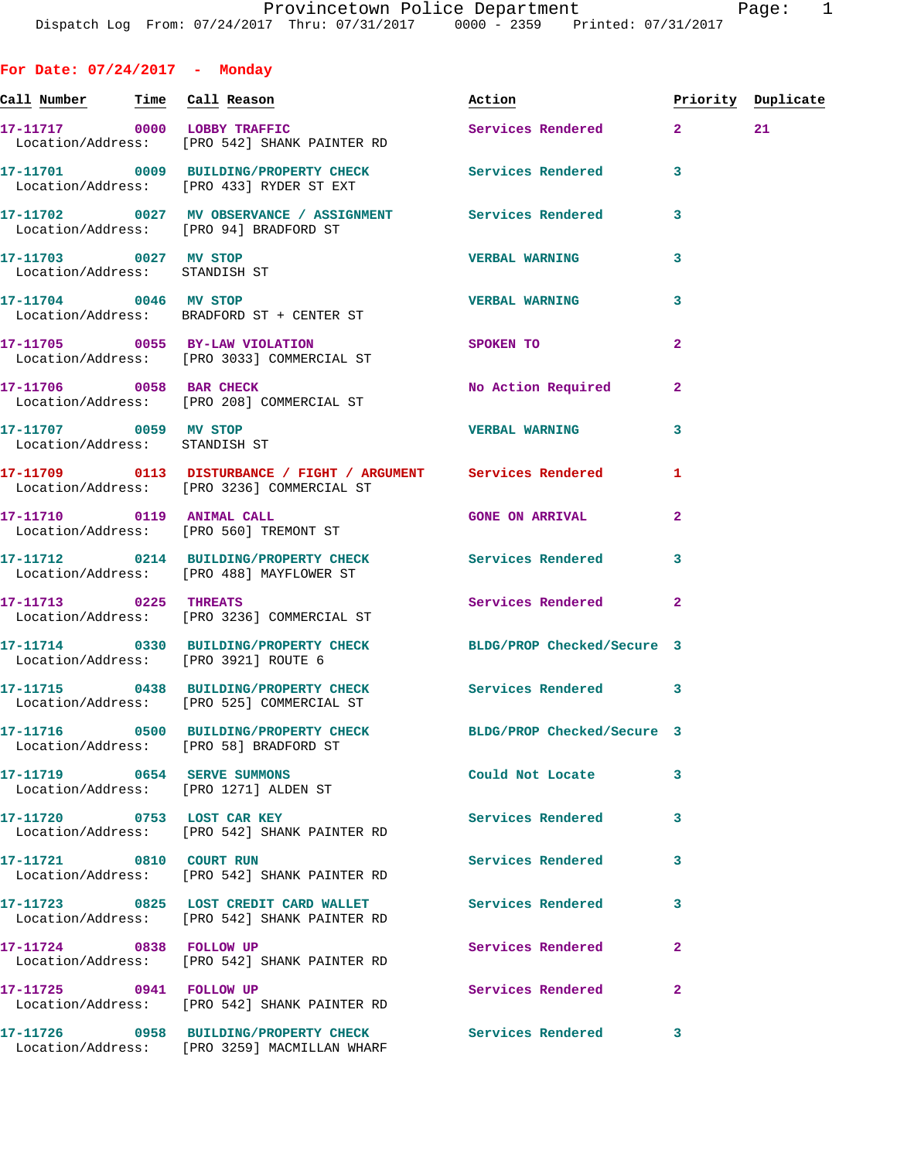| For Date: $07/24/2017$ - Monday                        |                                                                                                              |                            |                |                    |
|--------------------------------------------------------|--------------------------------------------------------------------------------------------------------------|----------------------------|----------------|--------------------|
| <u>Call Number — Time Call Reason</u>                  |                                                                                                              | Action                     |                | Priority Duplicate |
|                                                        | 17-11717 0000 LOBBY TRAFFIC<br>Location/Address: [PRO 542] SHANK PAINTER RD                                  | Services Rendered 2        |                | 21                 |
|                                                        | 17-11701 0009 BUILDING/PROPERTY CHECK Services Rendered<br>Location/Address: [PRO 433] RYDER ST EXT          |                            | 3              |                    |
|                                                        | 17-11702 0027 MV OBSERVANCE / ASSIGNMENT Services Rendered<br>Location/Address: [PRO 94] BRADFORD ST         |                            | 3              |                    |
| 17-11703 0027 MV STOP<br>Location/Address: STANDISH ST |                                                                                                              | <b>VERBAL WARNING</b>      | 3              |                    |
| 17-11704 0046 MV STOP                                  | Location/Address: BRADFORD ST + CENTER ST                                                                    | <b>VERBAL WARNING</b>      | 3              |                    |
|                                                        | 17-11705 0055 BY-LAW VIOLATION<br>Location/Address: [PRO 3033] COMMERCIAL ST                                 | <b>SPOKEN TO</b>           | 2              |                    |
|                                                        | 17-11706 0058 BAR CHECK<br>Location/Address: [PRO 208] COMMERCIAL ST                                         | No Action Required         | $\mathbf{2}$   |                    |
| 17-11707 0059 MV STOP<br>Location/Address: STANDISH ST |                                                                                                              | <b>VERBAL WARNING</b>      | 3              |                    |
|                                                        | 17-11709 0113 DISTURBANCE / FIGHT / ARGUMENT Services Rendered<br>Location/Address: [PRO 3236] COMMERCIAL ST |                            | 1              |                    |
|                                                        | 17-11710 0119 ANIMAL CALL<br>Location/Address: [PRO 560] TREMONT ST                                          | <b>GONE ON ARRIVAL</b>     | $\overline{2}$ |                    |
|                                                        | 17-11712 0214 BUILDING/PROPERTY CHECK Services Rendered<br>Location/Address: [PRO 488] MAYFLOWER ST          |                            | 3              |                    |
| 17-11713 0225 THREATS                                  | Location/Address: [PRO 3236] COMMERCIAL ST                                                                   | Services Rendered          | $\overline{2}$ |                    |
|                                                        | 17-11714 0330 BUILDING/PROPERTY CHECK BLDG/PROP Checked/Secure 3<br>Location/Address: [PRO 3921] ROUTE 6     |                            |                |                    |
|                                                        | 17-11715 0438 BUILDING/PROPERTY CHECK Services Rendered 3<br>Location/Address: [PRO 525] COMMERCIAL ST       |                            |                |                    |
|                                                        | 17-11716 0500 BUILDING/PROPERTY CHECK<br>Location/Address: [PRO 58] BRADFORD ST                              | BLDG/PROP Checked/Secure 3 |                |                    |
|                                                        | 17-11719 0654 SERVE SUMMONS<br>Location/Address: [PRO 1271] ALDEN ST                                         | Could Not Locate           | 3              |                    |
| 17-11720 0753 LOST CAR KEY                             | Location/Address: [PRO 542] SHANK PAINTER RD                                                                 | Services Rendered          | 3              |                    |
| 17-11721 0810 COURT RUN                                | Location/Address: [PRO 542] SHANK PAINTER RD                                                                 | <b>Services Rendered</b>   | 3              |                    |
|                                                        | 17-11723 0825 LOST CREDIT CARD WALLET<br>Location/Address: [PRO 542] SHANK PAINTER RD                        | <b>Services Rendered</b>   | 3              |                    |
| 17-11724 0838 FOLLOW UP                                | Location/Address: [PRO 542] SHANK PAINTER RD                                                                 | Services Rendered          | $\overline{a}$ |                    |
| 17-11725 0941 FOLLOW UP                                | Location/Address: [PRO 542] SHANK PAINTER RD                                                                 | Services Rendered          | 2              |                    |
|                                                        | 17-11726 0958 BUILDING/PROPERTY CHECK Services Rendered<br>Location/Address: [PRO 3259] MACMILLAN WHARF      |                            | 3              |                    |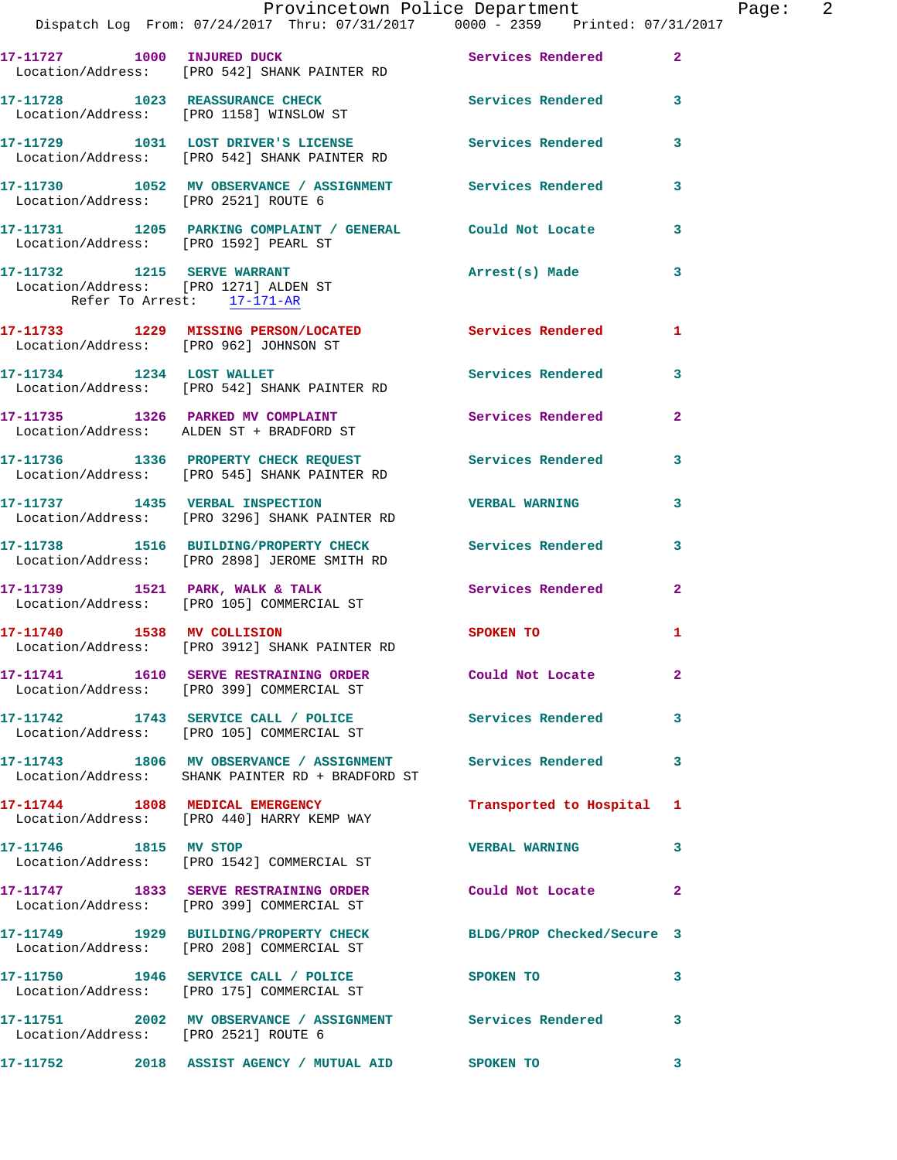|                                      | Provincetown Police Department The Page: 2                                                                                        |                           |                         |
|--------------------------------------|-----------------------------------------------------------------------------------------------------------------------------------|---------------------------|-------------------------|
|                                      | 17-11727 1000 INJURED DUCK Services Rendered 2<br>Location/Address: [PRO 542] SHANK PAINTER RD                                    |                           |                         |
|                                      | 17-11728 1023 REASSURANCE CHECK Services Rendered 3<br>Location/Address: [PRO 1158] WINSLOW ST                                    |                           |                         |
|                                      | 17-11729 1031 LOST DRIVER'S LICENSE               Services Rendered         3<br>Location/Address:     [PRO 542] SHANK PAINTER RD |                           |                         |
|                                      | 17-11730 1052 MV OBSERVANCE / ASSIGNMENT Services Rendered 3<br>Location/Address: [PRO 2521] ROUTE 6                              |                           |                         |
|                                      | 17-11731 1205 PARKING COMPLAINT / GENERAL Could Not Locate 3<br>Location/Address: [PRO 1592] PEARL ST                             |                           |                         |
| Refer To Arrest: 17-171-AR           | 17-11732 1215 SERVE WARRANT<br>Location/Address: [PRO 1271] ALDEN ST                                                              | Arrest(s) Made            | 3                       |
|                                      | 17-11733 1229 MISSING PERSON/LOCATED Services Rendered 1<br>Location/Address: [PRO 962] JOHNSON ST                                |                           |                         |
|                                      | 17-11734 1234 LOST WALLET<br>Location/Address: [PRO 542] SHANK PAINTER RD                                                         | Services Rendered 3       |                         |
|                                      | 17-11735 1326 PARKED MV COMPLAINT Services Rendered 2<br>Location/Address: ALDEN ST + BRADFORD ST                                 |                           |                         |
|                                      | 17-11736 1336 PROPERTY CHECK REQUEST Services Rendered 3<br>Location/Address: [PRO 545] SHANK PAINTER RD                          |                           |                         |
|                                      |                                                                                                                                   |                           | $\mathbf{3}$            |
|                                      | 17-11738 1516 BUILDING/PROPERTY CHECK Services Rendered 3<br>Location/Address: [PRO 2898] JEROME SMITH RD                         |                           |                         |
|                                      | 17-11739 1521 PARK, WALK & TALK 1988 Services Rendered<br>Location/Address: [PRO 105] COMMERCIAL ST                               |                           | $\mathbf{2}$            |
|                                      | 17-11740 1538 MV COLLISION<br>Location/Address: [PRO 3912] SHANK PAINTER RD                                                       | <b>SPOKEN TO</b>          | 1                       |
|                                      | 17-11741 1610 SERVE RESTRAINING ORDER Could Not Locate 2<br>Location/Address: [PRO 399] COMMERCIAL ST                             |                           |                         |
|                                      | 17-11742 1743 SERVICE CALL / POLICE 3 Services Rendered 3<br>Location/Address: [PRO 105] COMMERCIAL ST                            |                           |                         |
|                                      | 17-11743 1806 MV OBSERVANCE / ASSIGNMENT Services Rendered 3<br>Location/Address: SHANK PAINTER RD + BRADFORD ST                  |                           |                         |
|                                      | 17-11744 1808 MEDICAL EMERGENCY<br>Location/Address: [PRO 440] HARRY KEMP WAY                                                     | Transported to Hospital 1 |                         |
| 17-11746 1815 MV STOP                | Location/Address: [PRO 1542] COMMERCIAL ST                                                                                        | VERBAL WARNING 3          |                         |
|                                      | 17-11747 1833 SERVE RESTRAINING ORDER Could Not Locate<br>Location/Address: [PRO 399] COMMERCIAL ST                               |                           | $\mathbf{2}$            |
|                                      | 17-11749 1929 BUILDING/PROPERTY CHECK BLDG/PROP Checked/Secure 3<br>Location/Address: [PRO 208] COMMERCIAL ST                     |                           |                         |
|                                      | 17-11750 1946 SERVICE CALL / POLICE<br>Location/Address: [PRO 175] COMMERCIAL ST                                                  | SPOKEN TO                 | 3                       |
| Location/Address: [PRO 2521] ROUTE 6 | 17-11751 2002 MV OBSERVANCE / ASSIGNMENT Services Rendered                                                                        |                           | 3                       |
|                                      |                                                                                                                                   |                           | $\overline{\mathbf{3}}$ |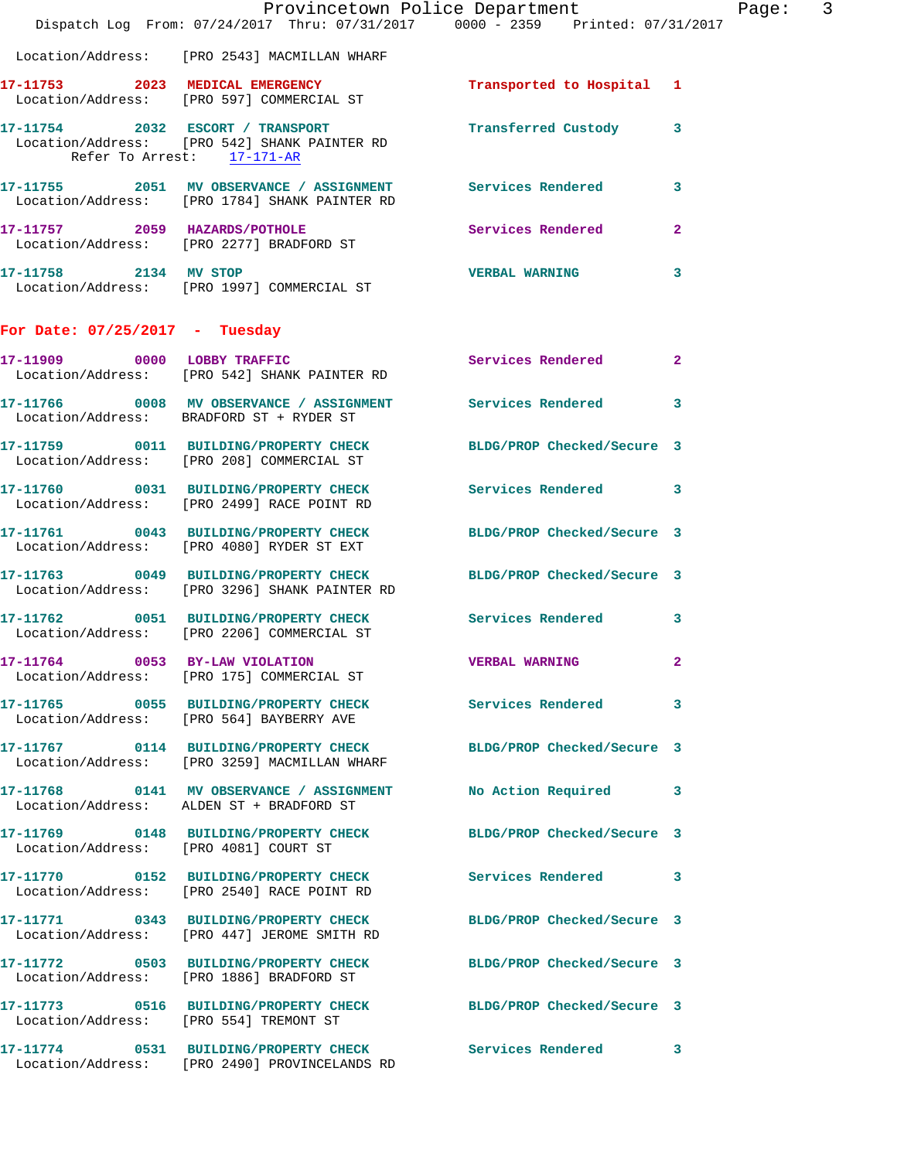|                                        | Provincetown Police Department<br>Dispatch Log From: 07/24/2017 Thru: 07/31/2017 0000 - 2359 Printed: 07/31/2017  |                            |                |
|----------------------------------------|-------------------------------------------------------------------------------------------------------------------|----------------------------|----------------|
|                                        | Location/Address: [PRO 2543] MACMILLAN WHARF                                                                      |                            |                |
|                                        | 17-11753 2023 MEDICAL EMERGENCY<br>Location/Address: [PRO 597] COMMERCIAL ST                                      | Transported to Hospital    | 1              |
| Refer To Arrest: 17-171-AR             | 17-11754 2032 ESCORT / TRANSPORT<br>Location/Address: [PRO 542] SHANK PAINTER RD                                  | Transferred Custody        | 3              |
|                                        | 17-11755 2051 MV OBSERVANCE / ASSIGNMENT Services Rendered<br>Location/Address: [PRO 1784] SHANK PAINTER RD       |                            | 3              |
|                                        |                                                                                                                   | Services Rendered          | $\mathbf{2}$   |
| 17-11758 2134 MV STOP                  | Location/Address: [PRO 1997] COMMERCIAL ST                                                                        | <b>VERBAL WARNING</b>      | 3              |
| For Date: $07/25/2017$ - Tuesday       |                                                                                                                   |                            |                |
|                                        | 17-11909 0000 LOBBY TRAFFIC<br>Location/Address: [PRO 542] SHANK PAINTER RD                                       | <b>Services Rendered</b>   | $\overline{2}$ |
|                                        | 17-11766 0008 MV OBSERVANCE / ASSIGNMENT Services Rendered<br>Location/Address: BRADFORD ST + RYDER ST            |                            | 3              |
|                                        | 17-11759 0011 BUILDING/PROPERTY CHECK<br>Location/Address: [PRO 208] COMMERCIAL ST                                | BLDG/PROP Checked/Secure 3 |                |
|                                        | 17-11760 0031 BUILDING/PROPERTY CHECK<br>Location/Address: [PRO 2499] RACE POINT RD                               | <b>Services Rendered</b>   | 3              |
|                                        | 17-11761 0043 BUILDING/PROPERTY CHECK<br>Location/Address: [PRO 4080] RYDER ST EXT                                | BLDG/PROP Checked/Secure 3 |                |
|                                        | 17-11763 0049 BUILDING/PROPERTY CHECK BLDG/PROP Checked/Secure 3<br>Location/Address: [PRO 3296] SHANK PAINTER RD |                            |                |
|                                        | 17-11762 0051 BUILDING/PROPERTY CHECK Services Rendered<br>Location/Address: [PRO 2206] COMMERCIAL ST             |                            | 3              |
|                                        | 17-11764 0053 BY-LAW VIOLATION<br>Location/Address: [PRO 175] COMMERCIAL ST                                       | <b>VERBAL WARNING</b>      | 2              |
|                                        | 17-11765 0055 BUILDING/PROPERTY CHECK Services Rendered<br>Location/Address: [PRO 564] BAYBERRY AVE               |                            | 3              |
|                                        | 17-11767 0114 BUILDING/PROPERTY CHECK<br>Location/Address: [PRO 3259] MACMILLAN WHARF                             | BLDG/PROP Checked/Secure 3 |                |
|                                        | 17-11768 0141 MV OBSERVANCE / ASSIGNMENT<br>Location/Address: ALDEN ST + BRADFORD ST                              | No Action Required         | 3              |
| Location/Address: [PRO 4081] COURT ST  | 17-11769 0148 BUILDING/PROPERTY CHECK                                                                             | BLDG/PROP Checked/Secure 3 |                |
|                                        | 17-11770 0152 BUILDING/PROPERTY CHECK<br>Location/Address: [PRO 2540] RACE POINT RD                               | <b>Services Rendered</b>   | 3              |
|                                        | 17-11771 0343 BUILDING/PROPERTY CHECK<br>Location/Address: [PRO 447] JEROME SMITH RD                              | BLDG/PROP Checked/Secure 3 |                |
|                                        | 17-11772 0503 BUILDING/PROPERTY CHECK<br>Location/Address: [PRO 1886] BRADFORD ST                                 | BLDG/PROP Checked/Secure 3 |                |
| Location/Address: [PRO 554] TREMONT ST | 17-11773 0516 BUILDING/PROPERTY CHECK                                                                             | BLDG/PROP Checked/Secure 3 |                |
|                                        | 17-11774 0531 BUILDING/PROPERTY CHECK<br>Location/Address: [PRO 2490] PROVINCELANDS RD                            | <b>Services Rendered</b>   | 3              |

Page: 3<br>17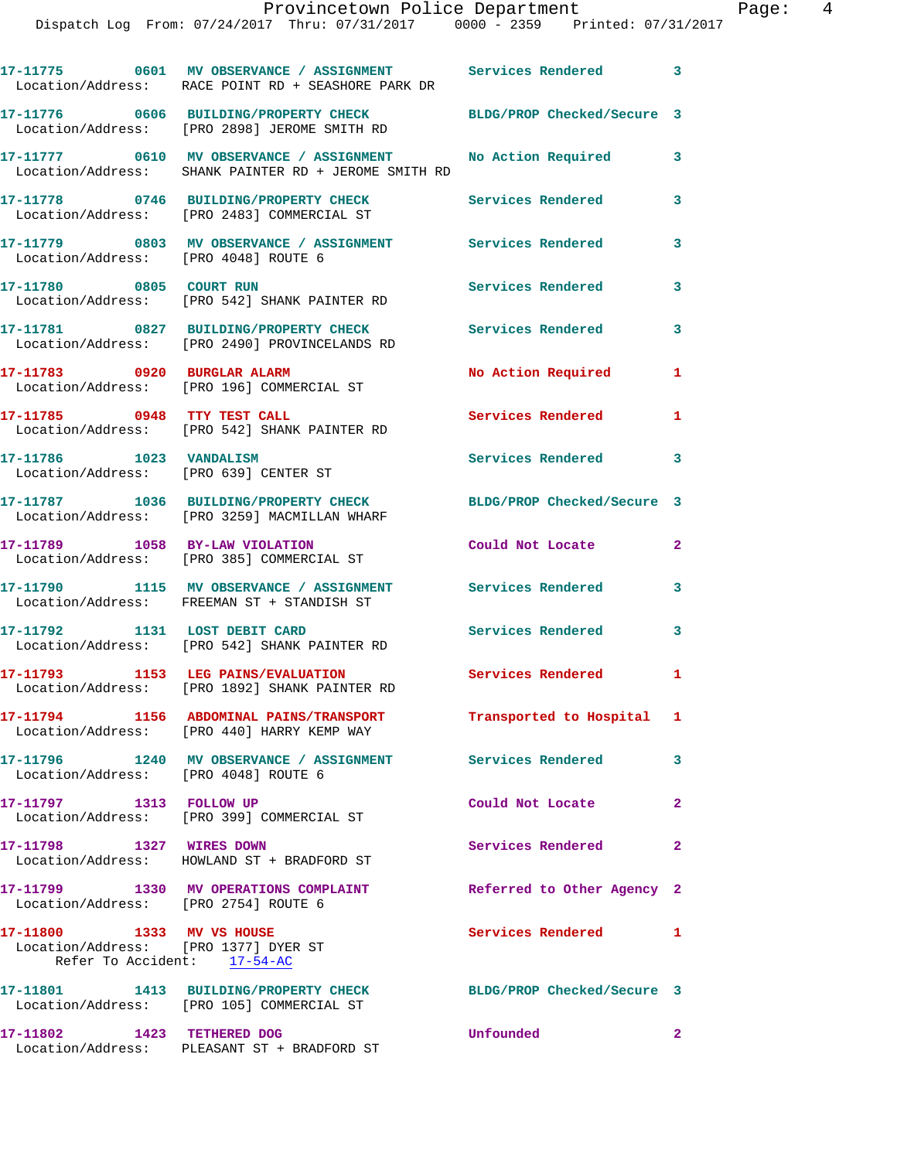|                                                                                                  | 17-11775 0601 MV OBSERVANCE / ASSIGNMENT Services Rendered 3<br>Location/Address: RACE POINT RD + SEASHORE PARK DR |                            |                         |
|--------------------------------------------------------------------------------------------------|--------------------------------------------------------------------------------------------------------------------|----------------------------|-------------------------|
|                                                                                                  | 17-11776 0606 BUILDING/PROPERTY CHECK<br>Location/Address: [PRO 2898] JEROME SMITH RD                              | BLDG/PROP Checked/Secure 3 |                         |
|                                                                                                  | 17-11777 0610 MV OBSERVANCE / ASSIGNMENT<br>Location/Address: SHANK PAINTER RD + JEROME SMITH RD                   | No Action Required         | $\overline{\mathbf{3}}$ |
|                                                                                                  | 17-11778 0746 BUILDING/PROPERTY CHECK<br>Location/Address: [PRO 2483] COMMERCIAL ST                                | Services Rendered          | 3                       |
| Location/Address: [PRO 4048] ROUTE 6                                                             | 17-11779 0803 MV OBSERVANCE / ASSIGNMENT Services Rendered                                                         |                            | 3                       |
| 17-11780 0805 COURT RUN                                                                          | Location/Address: [PRO 542] SHANK PAINTER RD                                                                       | <b>Services Rendered</b>   | $\mathbf{3}$            |
|                                                                                                  | 17-11781 0827 BUILDING/PROPERTY CHECK<br>Location/Address: [PRO 2490] PROVINCELANDS RD                             | <b>Services Rendered</b>   | 3                       |
| 17-11783 0920 BURGLAR ALARM                                                                      | Location/Address: [PRO 196] COMMERCIAL ST                                                                          | No Action Required         | 1                       |
|                                                                                                  | 17-11785 0948 TTY TEST CALL<br>Location/Address: [PRO 542] SHANK PAINTER RD                                        | <b>Services Rendered</b>   | 1                       |
| 17-11786 1023 VANDALISM                                                                          | Location/Address: [PRO 639] CENTER ST                                                                              | Services Rendered 3        |                         |
|                                                                                                  | 17-11787 1036 BUILDING/PROPERTY CHECK<br>Location/Address: [PRO 3259] MACMILLAN WHARF                              | BLDG/PROP Checked/Secure 3 |                         |
| 17-11789 1058 BY-LAW VIOLATION                                                                   | Location/Address: [PRO 385] COMMERCIAL ST                                                                          | Could Not Locate           | $\mathbf{2}$            |
|                                                                                                  | 17-11790 1115 MV OBSERVANCE / ASSIGNMENT Services Rendered<br>Location/Address: FREEMAN ST + STANDISH ST           |                            | $\mathbf{3}$            |
| 17-11792 1131 LOST DEBIT CARD                                                                    | Location/Address: [PRO 542] SHANK PAINTER RD                                                                       | Services Rendered          | $\mathbf{3}$            |
|                                                                                                  | 17-11793 1153 LEG PAINS/EVALUATION<br>Location/Address: [PRO 1892] SHANK PAINTER RD                                | Services Rendered 1        |                         |
|                                                                                                  | Location/Address: [PRO 440] HARRY KEMP WAY                                                                         | Transported to Hospital 1  |                         |
| Location/Address: [PRO 4048] ROUTE 6                                                             | 17-11796 1240 MV OBSERVANCE / ASSIGNMENT Services Rendered                                                         |                            | $\mathbf{3}$            |
| 17-11797 1313 FOLLOW UP                                                                          | Location/Address: [PRO 399] COMMERCIAL ST                                                                          | Could Not Locate           | $\overline{2}$          |
| 17-11798 1327 WIRES DOWN                                                                         | Location/Address: HOWLAND ST + BRADFORD ST                                                                         | Services Rendered          | $\mathbf{2}$            |
| Location/Address: [PRO 2754] ROUTE 6                                                             | 17-11799 1330 MV OPERATIONS COMPLAINT                                                                              | Referred to Other Agency 2 |                         |
| 17-11800 1333 MV VS HOUSE<br>Location/Address: [PRO 1377] DYER ST<br>Refer To Accident: 17-54-AC |                                                                                                                    | Services Rendered          | 1                       |
|                                                                                                  | 17-11801 1413 BUILDING/PROPERTY CHECK<br>Location/Address: [PRO 105] COMMERCIAL ST                                 | BLDG/PROP Checked/Secure 3 |                         |
| 17-11802 1423 TETHERED DOG                                                                       | Location/Address: PLEASANT ST + BRADFORD ST                                                                        | Unfounded                  | $\mathbf{2}$            |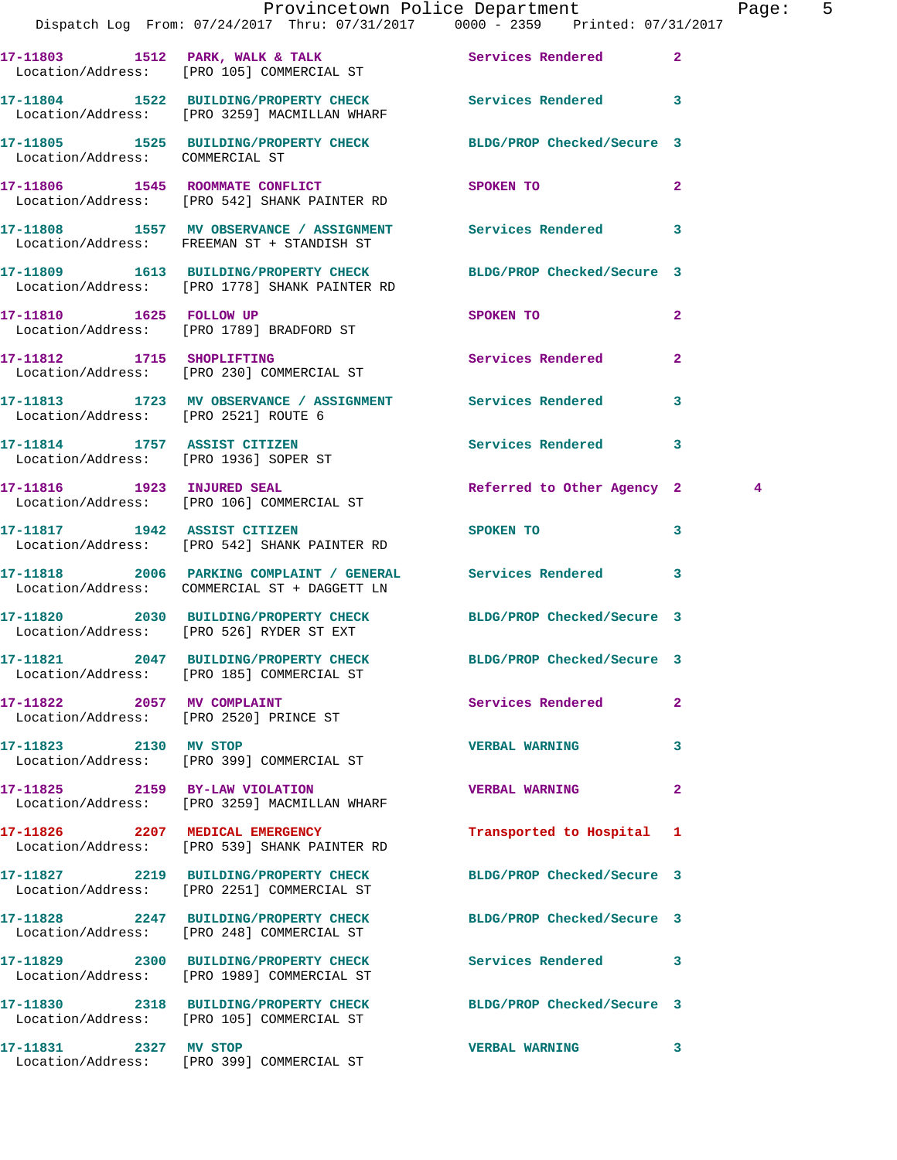|                                       | Provincetown Police Department                                                                                    |                            |                | Pag           |
|---------------------------------------|-------------------------------------------------------------------------------------------------------------------|----------------------------|----------------|---------------|
|                                       | Dispatch Log From: 07/24/2017 Thru: 07/31/2017 0000 - 2359 Printed: 07/31/2017                                    |                            |                |               |
|                                       | 17-11803 1512 PARK, WALK & TALK 1988 Services Rendered<br>Location/Address: [PRO 105] COMMERCIAL ST               |                            | $\overline{2}$ |               |
|                                       | 17-11804 1522 BUILDING/PROPERTY CHECK Services Rendered<br>Location/Address: [PRO 3259] MACMILLAN WHARF           |                            | 3              |               |
| Location/Address: COMMERCIAL ST       | 17-11805 1525 BUILDING/PROPERTY CHECK BLDG/PROP Checked/Secure 3                                                  |                            |                |               |
|                                       | 17-11806 1545 ROOMMATE CONFLICT SPOKEN TO<br>Location/Address: [PRO 542] SHANK PAINTER RD                         |                            | $\overline{a}$ |               |
|                                       | 17-11808 1557 MV OBSERVANCE / ASSIGNMENT Services Rendered<br>Location/Address: FREEMAN ST + STANDISH ST          |                            | 3              |               |
|                                       | 17-11809 1613 BUILDING/PROPERTY CHECK BLDG/PROP Checked/Secure 3<br>Location/Address: [PRO 1778] SHANK PAINTER RD |                            |                |               |
|                                       | 17-11810 1625 FOLLOW UP<br>Location/Address: [PRO 1789] BRADFORD ST                                               | SPOKEN TO                  | $\overline{a}$ |               |
|                                       | 17-11812 1715 SHOPLIFTING<br>Location/Address: [PRO 230] COMMERCIAL ST                                            | Services Rendered          | $\mathbf{2}$   |               |
| Location/Address: [PRO 2521] ROUTE 6  | 17-11813 1723 MV OBSERVANCE / ASSIGNMENT Services Rendered                                                        |                            | 3              |               |
| Location/Address: [PRO 1936] SOPER ST | 17-11814 1757 ASSIST CITIZEN                                                                                      | Services Rendered          | 3              |               |
|                                       | 17-11816 1923 INJURED SEAL<br>Location/Address: [PRO 106] COMMERCIAL ST                                           | Referred to Other Agency 2 |                | $\frac{4}{3}$ |
|                                       | 17-11817 1942 ASSIST CITIZEN<br>Location/Address: [PRO 542] SHANK PAINTER RD                                      | SPOKEN TO                  | 3              |               |
|                                       | 17-11818 2006 PARKING COMPLAINT / GENERAL Services Rendered<br>Location/Address: COMMERCIAL ST + DAGGETT LN       |                            | 3              |               |
|                                       | 17-11820 2030 BUILDING/PROPERTY CHECK BLDG/PROP Checked/Secure 3<br>Location/Address: [PRO 526] RYDER ST EXT      |                            |                |               |
|                                       | 17-11821 2047 BUILDING/PROPERTY CHECK<br>Location/Address: [PRO 185] COMMERCIAL ST                                | BLDG/PROP Checked/Secure 3 |                |               |
| 17-11822 2057 MV COMPLAINT            | Location/Address: [PRO 2520] PRINCE ST                                                                            | Services Rendered          | $\overline{a}$ |               |
| 17-11823 2130 MV STOP                 | Location/Address: [PRO 399] COMMERCIAL ST                                                                         | <b>VERBAL WARNING</b>      | 3              |               |
|                                       | 17-11825 2159 BY-LAW VIOLATION<br>Location/Address: [PRO 3259] MACMILLAN WHARF                                    | <b>VERBAL WARNING</b>      | $\mathbf{2}$   |               |
|                                       | 17-11826 2207 MEDICAL EMERGENCY<br>Location/Address: [PRO 539] SHANK PAINTER RD                                   | Transported to Hospital 1  |                |               |
|                                       | 17-11827 2219 BUILDING/PROPERTY CHECK<br>Location/Address: [PRO 2251] COMMERCIAL ST                               | BLDG/PROP Checked/Secure 3 |                |               |
|                                       | 17-11828 2247 BUILDING/PROPERTY CHECK BLDG/PROP Checked/Secure 3<br>Location/Address: [PRO 248] COMMERCIAL ST     |                            |                |               |
|                                       | 17-11829 2300 BUILDING/PROPERTY CHECK Services Rendered<br>Location/Address: [PRO 1989] COMMERCIAL ST             |                            | 3              |               |
|                                       | 17-11830 2318 BUILDING/PROPERTY CHECK BLDG/PROP Checked/Secure 3<br>Location/Address: [PRO 105] COMMERCIAL ST     |                            |                |               |
| 17-11831 2327 MV STOP                 |                                                                                                                   | <b>VERBAL WARNING</b>      | 3              |               |

Location/Address: [PRO 399] COMMERCIAL ST

age: 5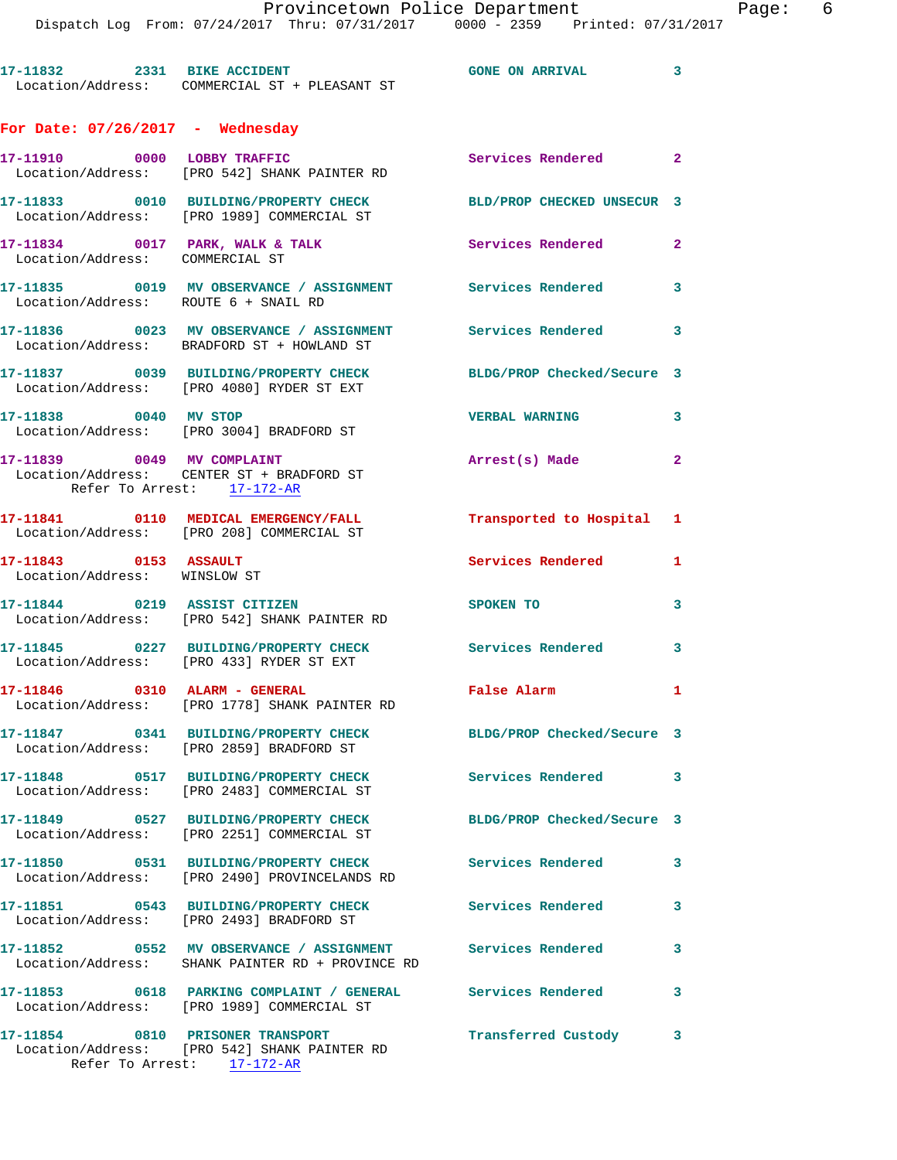**17-11832 2331 BIKE ACCIDENT GONE ON ARRIVAL 3**  Location/Address: COMMERCIAL ST + PLEASANT ST

## **For Date: 07/26/2017 - Wednesday**

| 17-11910 0000 LOBBY TRAFFIC                              | Location/Address: [PRO 542] SHANK PAINTER RD                                                              | Services Rendered          | $\overline{\mathbf{2}}$ |
|----------------------------------------------------------|-----------------------------------------------------------------------------------------------------------|----------------------------|-------------------------|
|                                                          | 17-11833 0010 BUILDING/PROPERTY CHECK<br>Location/Address: [PRO 1989] COMMERCIAL ST                       | BLD/PROP CHECKED UNSECUR 3 |                         |
| Location/Address: COMMERCIAL ST                          | 17-11834 0017 PARK, WALK & TALK                                                                           | <b>Services Rendered</b>   | $\mathbf{2}$            |
| Location/Address: ROUTE 6 + SNAIL RD                     | 17-11835 0019 MV OBSERVANCE / ASSIGNMENT Services Rendered 3                                              |                            |                         |
|                                                          | 17-11836 0023 MV OBSERVANCE / ASSIGNMENT<br>Location/Address: BRADFORD ST + HOWLAND ST                    | Services Rendered 3        |                         |
|                                                          | 17-11837 0039 BUILDING/PROPERTY CHECK<br>Location/Address: [PRO 4080] RYDER ST EXT                        | BLDG/PROP Checked/Secure 3 |                         |
| 17-11838 0040 MV STOP                                    | Location/Address: [PRO 3004] BRADFORD ST                                                                  | <b>VERBAL WARNING</b>      | $\mathbf{3}$            |
| 17-11839 0049 MV COMPLAINT<br>Refer To Arrest: 17-172-AR | Location/Address: CENTER ST + BRADFORD ST                                                                 | Arrest(s) Made             | $\mathbf{2}$            |
|                                                          | 17-11841 0110 MEDICAL EMERGENCY/FALL<br>Location/Address: [PRO 208] COMMERCIAL ST                         | Transported to Hospital 1  |                         |
| 17-11843 0153 ASSAULT<br>Location/Address: WINSLOW ST    |                                                                                                           | <b>Services Rendered</b>   | $\mathbf{1}$            |
| 17-11844 0219 ASSIST CITIZEN                             | Location/Address: [PRO 542] SHANK PAINTER RD                                                              | SPOKEN TO                  | $\mathbf{3}$            |
|                                                          | 17-11845 0227 BUILDING/PROPERTY CHECK<br>Location/Address: [PRO 433] RYDER ST EXT                         | Services Rendered          | $\mathbf{3}$            |
| 17-11846 0310 ALARM - GENERAL                            | Location/Address: [PRO 1778] SHANK PAINTER RD                                                             | False Alarm                | $\mathbf{1}$            |
|                                                          | 17-11847 0341 BUILDING/PROPERTY CHECK<br>Location/Address: [PRO 2859] BRADFORD ST                         | BLDG/PROP Checked/Secure 3 |                         |
|                                                          | 17-11848 0517 BUILDING/PROPERTY CHECK<br>Location/Address: [PRO 2483] COMMERCIAL ST                       | Services Rendered 3        |                         |
|                                                          | Location/Address: [PRO 2251] COMMERCIAL ST                                                                | BLDG/PROP Checked/Secure 3 |                         |
|                                                          | 17-11850 0531 BUILDING/PROPERTY CHECK<br>Location/Address: [PRO 2490] PROVINCELANDS RD                    | Services Rendered          | 3                       |
|                                                          | 17-11851 0543 BUILDING/PROPERTY CHECK<br>Location/Address: [PRO 2493] BRADFORD ST                         | <b>Services Rendered</b>   | 3                       |
|                                                          | 17-11852 0552 MV OBSERVANCE / ASSIGNMENT<br>Location/Address: SHANK PAINTER RD + PROVINCE RD              | Services Rendered          | 3                       |
|                                                          | 17-11853 0618 PARKING COMPLAINT / GENERAL Services Rendered<br>Location/Address: [PRO 1989] COMMERCIAL ST |                            | 3                       |
| 17-11854 0810 PRISONER TRANSPORT                         | Location/Address: [PRO 542] SHANK PAINTER RD<br>Refer To Arrest: 17-172-AR                                | Transferred Custody        | $\mathbf{3}$            |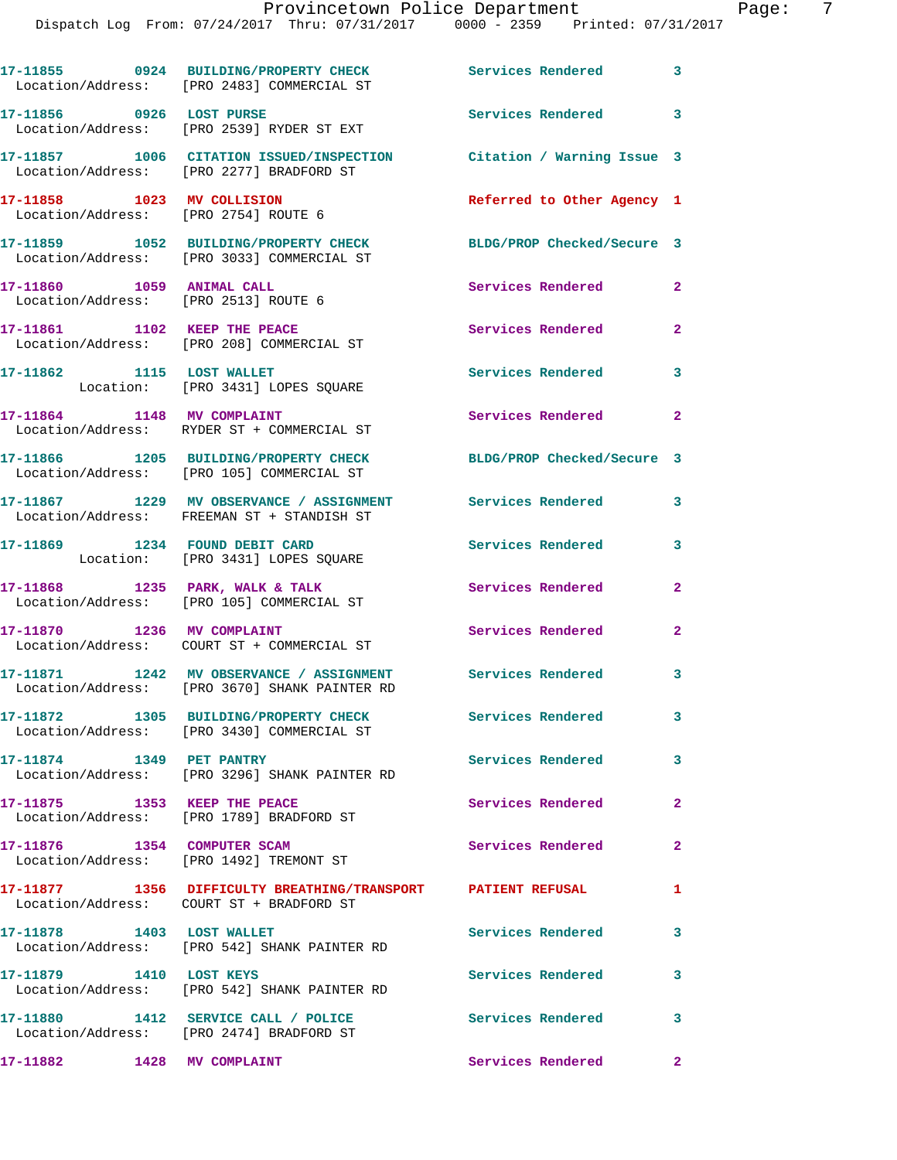## Provincetown Police Department Page: 7

Dispatch Log From: 07/24/2017 Thru: 07/31/2017 0000 - 2359 Printed: 07/31/2017

|                                                                   | 17-11855 0924 BUILDING/PROPERTY CHECK<br>Location/Address: [PRO 2483] COMMERCIAL ST                             | <b>Services Rendered</b>   | $\overline{\mathbf{3}}$ |
|-------------------------------------------------------------------|-----------------------------------------------------------------------------------------------------------------|----------------------------|-------------------------|
| 17-11856 0926 LOST PURSE                                          | Location/Address: [PRO 2539] RYDER ST EXT                                                                       | Services Rendered 3        |                         |
|                                                                   | 17-11857 1006 CITATION ISSUED/INSPECTION Citation / Warning Issue 3<br>Location/Address: [PRO 2277] BRADFORD ST |                            |                         |
| 17-11858 1023 MV COLLISION                                        | Location/Address: [PRO 2754] ROUTE 6                                                                            | Referred to Other Agency 1 |                         |
|                                                                   | 17-11859 1052 BUILDING/PROPERTY CHECK<br>Location/Address: [PRO 3033] COMMERCIAL ST                             | BLDG/PROP Checked/Secure 3 |                         |
| 17-11860 1059 ANIMAL CALL<br>Location/Address: [PRO 2513] ROUTE 6 |                                                                                                                 | Services Rendered          | $\mathbf{2}$            |
|                                                                   | 17-11861 1102 KEEP THE PEACE<br>Location/Address: [PRO 208] COMMERCIAL ST                                       | Services Rendered          | $\overline{\mathbf{2}}$ |
|                                                                   | 17-11862 1115 LOST WALLET<br>Location: [PRO 3431] LOPES SQUARE                                                  | Services Rendered          | 3                       |
| 17-11864 1148 MV COMPLAINT                                        | Location/Address: RYDER ST + COMMERCIAL ST                                                                      | Services Rendered 2        |                         |
|                                                                   | 17-11866 1205 BUILDING/PROPERTY CHECK<br>Location/Address: [PRO 105] COMMERCIAL ST                              | BLDG/PROP Checked/Secure 3 |                         |
|                                                                   | 17-11867 1229 MV OBSERVANCE / ASSIGNMENT<br>Location/Address: FREEMAN ST + STANDISH ST                          | <b>Services Rendered</b> 3 |                         |
|                                                                   | 17-11869 1234 FOUND DEBIT CARD<br>Location: [PRO 3431] LOPES SQUARE                                             | Services Rendered          | 3                       |
|                                                                   | 17-11868 1235 PARK, WALK & TALK<br>Location/Address: [PRO 105] COMMERCIAL ST                                    | Services Rendered          | $\mathbf{2}$            |
|                                                                   | 17-11870 1236 MV COMPLAINT<br>Location/Address: COURT ST + COMMERCIAL ST                                        | <b>Services Rendered</b>   | $\overline{2}$          |
|                                                                   | 17-11871 1242 MV OBSERVANCE / ASSIGNMENT<br>Location/Address: [PRO 3670] SHANK PAINTER RD                       | Services Rendered 3        |                         |
|                                                                   | 17-11872 1305 BUILDING/PROPERTY CHECK<br>Location/Address: [PRO 3430] COMMERCIAL ST                             | Services Rendered          | 3                       |
| 17-11874 1349 PET PANTRY                                          | Location/Address: [PRO 3296] SHANK PAINTER RD                                                                   | Services Rendered          | $\mathbf{3}$            |
| 17-11875 1353 KEEP THE PEACE                                      | Location/Address: [PRO 1789] BRADFORD ST                                                                        | Services Rendered          | $\mathbf{2}$            |
| 17-11876 1354 COMPUTER SCAM                                       | Location/Address: [PRO 1492] TREMONT ST                                                                         | Services Rendered          | $\mathbf{2}$            |
|                                                                   | 17-11877 1356 DIFFICULTY BREATHING/TRANSPORT PATIENT REFUSAL<br>Location/Address: COURT ST + BRADFORD ST        |                            | $\mathbf{1}$            |
| 17-11878 1403 LOST WALLET                                         | Location/Address: [PRO 542] SHANK PAINTER RD                                                                    | Services Rendered          | $\mathbf{3}$            |
| 17-11879 1410 LOST KEYS                                           | Location/Address: [PRO 542] SHANK PAINTER RD                                                                    | <b>Services Rendered</b>   | 3                       |
|                                                                   | 17-11880 1412 SERVICE CALL / POLICE<br>Location/Address: [PRO 2474] BRADFORD ST                                 | Services Rendered          | 3                       |
| 17-11882                                                          | 1428 MV COMPLAINT                                                                                               | Services Rendered          | $\mathbf{2}$            |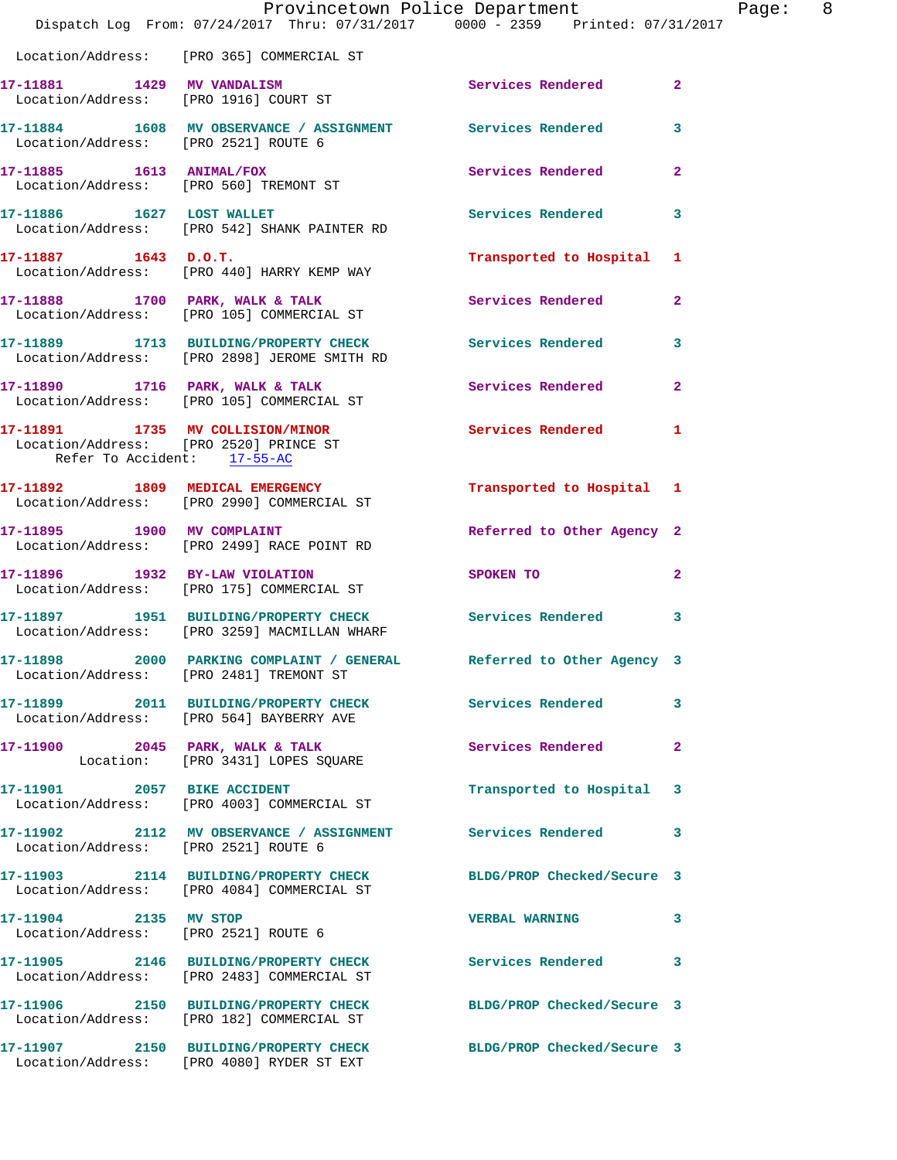|                                                                                                           | Provincetown Police Department<br>Dispatch Log From: 07/24/2017 Thru: 07/31/2017 0000 - 2359 Printed: 07/31/2017 |                            |                |
|-----------------------------------------------------------------------------------------------------------|------------------------------------------------------------------------------------------------------------------|----------------------------|----------------|
|                                                                                                           | Location/Address: [PRO 365] COMMERCIAL ST                                                                        |                            |                |
| 17-11881 1429 MV VANDALISM                                                                                | Location/Address: [PRO 1916] COURT ST                                                                            | Services Rendered          | $\overline{2}$ |
| Location/Address: [PRO 2521] ROUTE 6                                                                      | 17-11884 1608 MV OBSERVANCE / ASSIGNMENT Services Rendered                                                       |                            | 3              |
| 17-11885   1613   ANIMAL/FOX                                                                              | Location/Address: [PRO 560] TREMONT ST                                                                           | <b>Services Rendered</b>   | $\overline{a}$ |
|                                                                                                           | 17-11886 1627 LOST WALLET<br>Location/Address: [PRO 542] SHANK PAINTER RD                                        | <b>Services Rendered</b>   | 3              |
| 17-11887 1643 D.O.T.                                                                                      | Location/Address: [PRO 440] HARRY KEMP WAY                                                                       | Transported to Hospital    | 1              |
|                                                                                                           | 17-11888 1700 PARK, WALK & TALK<br>Location/Address: [PRO 105] COMMERCIAL ST                                     | <b>Services Rendered</b>   | $\mathbf{2}$   |
|                                                                                                           | 17-11889 1713 BUILDING/PROPERTY CHECK<br>Location/Address: [PRO 2898] JEROME SMITH RD                            | Services Rendered          | 3              |
|                                                                                                           | 17-11890 1716 PARK, WALK & TALK<br>Location/Address: [PRO 105] COMMERCIAL ST                                     | Services Rendered          | $\mathbf{2}$   |
| 17-11891 1735 MV COLLISION/MINOR<br>Location/Address: [PRO 2520] PRINCE ST<br>Refer To Accident: 17-55-AC |                                                                                                                  | <b>Services Rendered</b>   | 1              |
|                                                                                                           | 17-11892 1809 MEDICAL EMERGENCY<br>Location/Address: [PRO 2990] COMMERCIAL ST                                    | Transported to Hospital 1  |                |
|                                                                                                           | 17-11895 1900 MV COMPLAINT<br>Location/Address: [PRO 2499] RACE POINT RD                                         | Referred to Other Agency 2 |                |
| 17-11896 1932 BY-LAW VIOLATION                                                                            | Location/Address: [PRO 175] COMMERCIAL ST                                                                        | SPOKEN TO                  | $\overline{a}$ |
|                                                                                                           | 17-11897 1951 BUILDING/PROPERTY CHECK<br>Location/Address: [PRO 3259] MACMILLAN WHARF                            | Services Rendered          | 3              |
| Location/Address: [PRO 2481] TREMONT ST                                                                   | 17-11898 2000 PARKING COMPLAINT / GENERAL                                                                        | Referred to Other Agency 3 |                |
|                                                                                                           | 17-11899 2011 BUILDING/PROPERTY CHECK Services Rendered<br>Location/Address: [PRO 564] BAYBERRY AVE              |                            | 3              |
|                                                                                                           | 17-11900 2045 PARK, WALK & TALK<br>Location: [PRO 3431] LOPES SQUARE                                             | <b>Services Rendered</b>   | $\mathbf{2}$   |
|                                                                                                           | 17-11901 2057 BIKE ACCIDENT<br>Location/Address: [PRO 4003] COMMERCIAL ST                                        | Transported to Hospital    | 3              |
| Location/Address: [PRO 2521] ROUTE 6                                                                      | 17-11902 2112 MV OBSERVANCE / ASSIGNMENT Services Rendered                                                       |                            | 3              |
|                                                                                                           | 17-11903 2114 BUILDING/PROPERTY CHECK BLDG/PROP Checked/Secure 3<br>Location/Address: [PRO 4084] COMMERCIAL ST   |                            |                |
| 17-11904 2135 MV STOP                                                                                     | Location/Address: [PRO 2521] ROUTE 6                                                                             | <b>VERBAL WARNING</b>      | 3              |
|                                                                                                           | 17-11905 2146 BUILDING/PROPERTY CHECK Services Rendered<br>Location/Address: [PRO 2483] COMMERCIAL ST            |                            | 3              |
|                                                                                                           | 17-11906 2150 BUILDING/PROPERTY CHECK BLDG/PROP Checked/Secure 3<br>Location/Address: [PRO 182] COMMERCIAL ST    |                            |                |
|                                                                                                           | 17-11907 2150 BUILDING/PROPERTY CHECK<br>Location/Address: [PRO 4080] RYDER ST EXT                               | BLDG/PROP Checked/Secure 3 |                |

Page:  $8$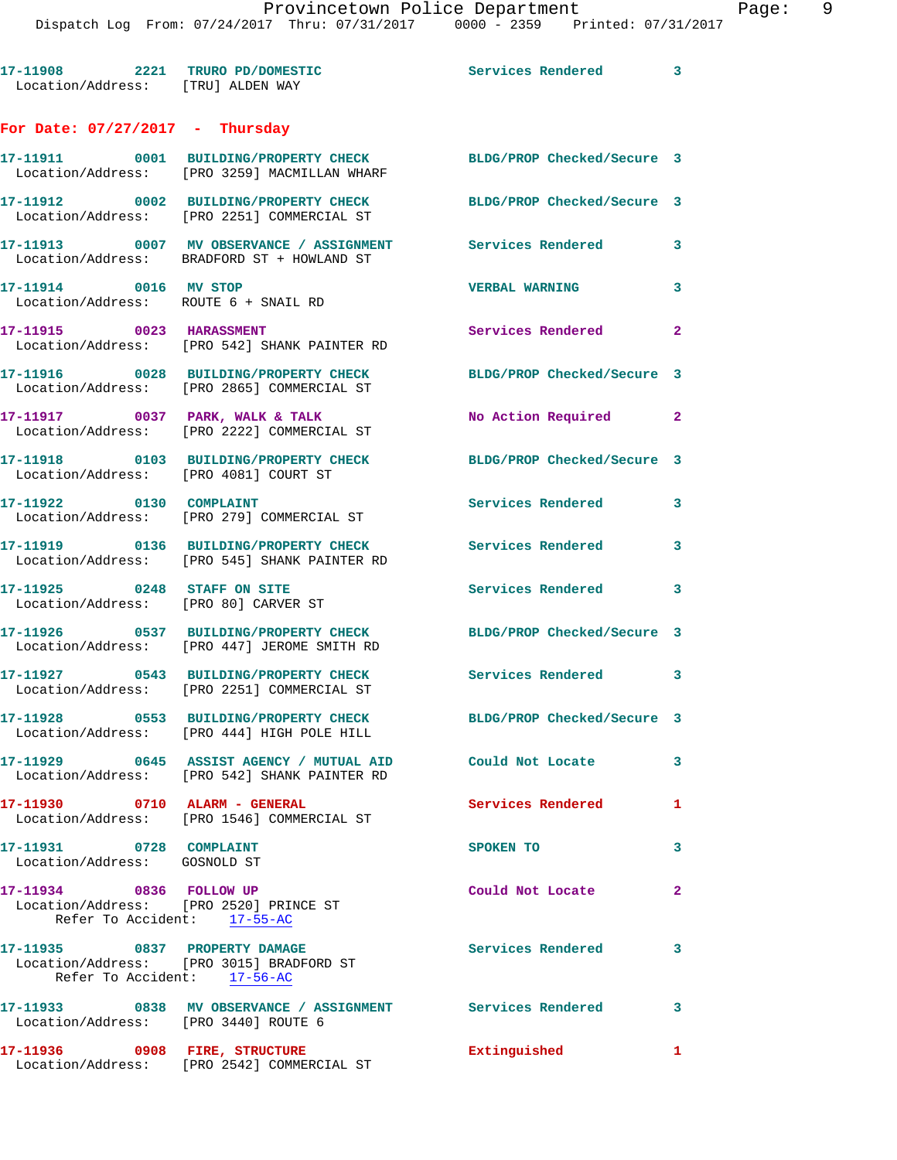**17-11908 2221 TRURO PD/DOMESTIC Services Rendered 3**  Location/Address: [TRU] ALDEN WAY **For Date: 07/27/2017 - Thursday 17-11911 0001 BUILDING/PROPERTY CHECK BLDG/PROP Checked/Secure 3**  Location/Address: [PRO 3259] MACMILLAN WHARF **17-11912 0002 BUILDING/PROPERTY CHECK BLDG/PROP Checked/Secure 3**  Location/Address: [PRO 2251] COMMERCIAL ST **17-11913 0007 MV OBSERVANCE / ASSIGNMENT Services Rendered 3**  Location/Address: BRADFORD ST + HOWLAND ST **17-11914 0016 MV STOP VERBAL WARNING 3**  Location/Address: ROUTE 6 + SNAIL RD **17-11915** 0023 HARASSMENT Services Rendered 2 Location/Address: [PRO 542] SHANK PAINTER RD **17-11916 0028 BUILDING/PROPERTY CHECK BLDG/PROP Checked/Secure 3**  Location/Address: [PRO 2865] COMMERCIAL ST **17-11917 0037 PARK, WALK & TALK No Action Required 2**  Location/Address: [PRO 2222] COMMERCIAL ST **17-11918 0103 BUILDING/PROPERTY CHECK BLDG/PROP Checked/Secure 3**  Location/Address: [PRO 4081] COURT ST **17-11922 0130 COMPLAINT Services Rendered 3**  Location/Address: [PRO 279] COMMERCIAL ST **17-11919 0136 BUILDING/PROPERTY CHECK Services Rendered 3**  Location/Address: [PRO 545] SHANK PAINTER RD **17-11925 0248 STAFF ON SITE Services Rendered 3**  Location/Address: [PRO 80] CARVER ST **17-11926 0537 BUILDING/PROPERTY CHECK BLDG/PROP Checked/Secure 3**  Location/Address: [PRO 447] JEROME SMITH RD **17-11927 0543 BUILDING/PROPERTY CHECK Services Rendered 3**  Location/Address: [PRO 2251] COMMERCIAL ST **17-11928 0553 BUILDING/PROPERTY CHECK BLDG/PROP Checked/Secure 3**  Location/Address: [PRO 444] HIGH POLE HILL **17-11929 0645 ASSIST AGENCY / MUTUAL AID Could Not Locate 3**  Location/Address: [PRO 542] SHANK PAINTER RD **17-11930 0710 ALARM - GENERAL Services Rendered 1**  Location/Address: [PRO 1546] COMMERCIAL ST **17-11931 0728 COMPLAINT SPOKEN TO 3**  Location/Address: GOSNOLD ST **17-11934 0836 FOLLOW UP Could Not Locate 2**  Location/Address: [PRO 2520] PRINCE ST Refer To Accident: 17-55-AC **17-11935 0837 PROPERTY DAMAGE Services Rendered 3**  Location/Address: [PRO 3015] BRADFORD ST Refer To Accident: 17-56-AC **17-11933 0838 MV OBSERVANCE / ASSIGNMENT Services Rendered 3**  Location/Address: [PRO 3440] ROUTE 6 **17-11936 0908 FIRE, STRUCTURE Extinguished 1**  Location/Address: [PRO 2542] COMMERCIAL ST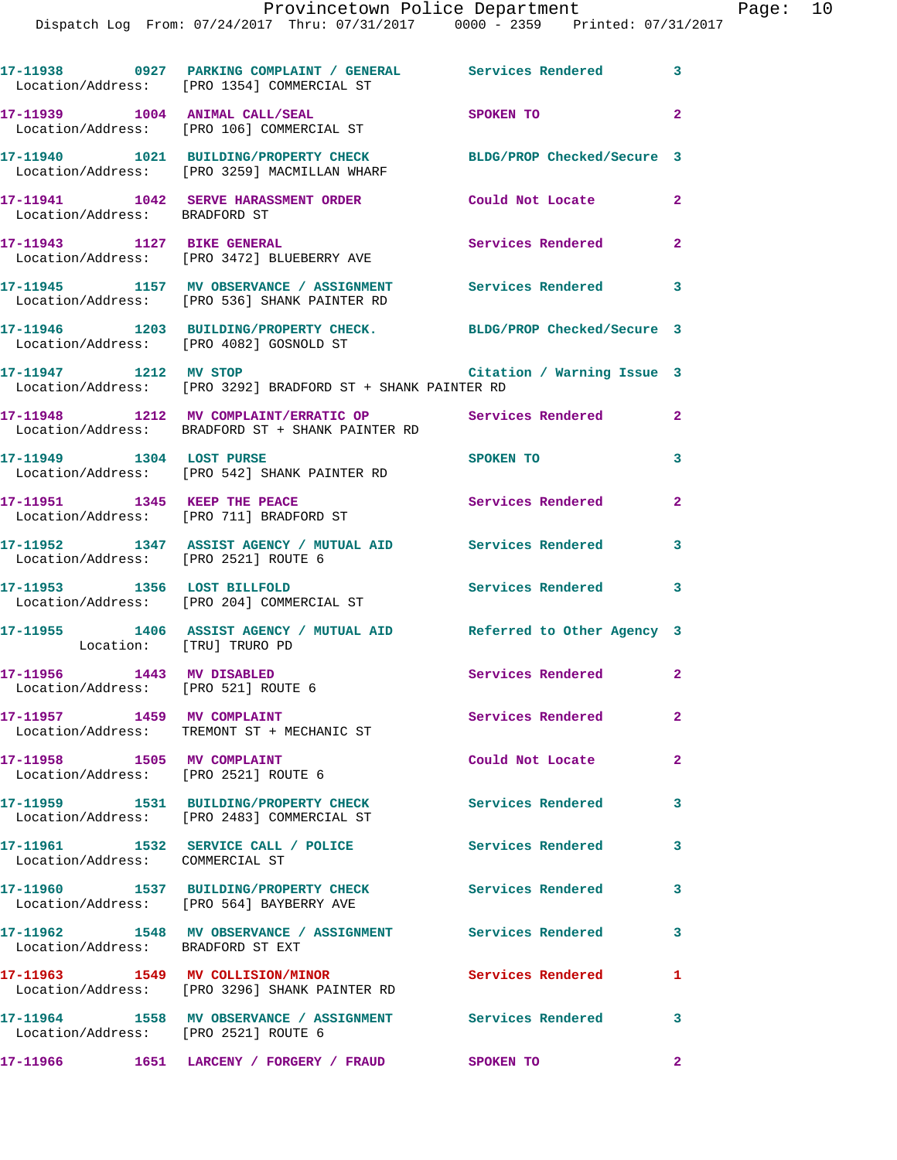Dispatch Log From: 07/24/2017 Thru: 07/31/2017 0000 - 2359 Printed: 07/31/2017

|                                                                       | 17-11938 0927 PARKING COMPLAINT / GENERAL Services Rendered 3<br>Location/Address: [PRO 1354] COMMERCIAL ST      |                            |                |
|-----------------------------------------------------------------------|------------------------------------------------------------------------------------------------------------------|----------------------------|----------------|
|                                                                       | 17-11939 1004 ANIMAL CALL/SEAL<br>Location/Address: [PRO 106] COMMERCIAL ST                                      | SPOKEN TO                  | $\overline{2}$ |
|                                                                       | 17-11940 1021 BUILDING/PROPERTY CHECK BLDG/PROP Checked/Secure 3<br>Location/Address: [PRO 3259] MACMILLAN WHARF |                            |                |
| Location/Address: BRADFORD ST                                         | 17-11941 1042 SERVE HARASSMENT ORDER Could Not Locate                                                            |                            | $\mathbf{2}$   |
| 17-11943 1127 BIKE GENERAL                                            | Location/Address: [PRO 3472] BLUEBERRY AVE                                                                       | Services Rendered 2        |                |
|                                                                       | 17-11945 1157 MV OBSERVANCE / ASSIGNMENT Services Rendered 3<br>Location/Address: [PRO 536] SHANK PAINTER RD     |                            |                |
|                                                                       | 17-11946 1203 BUILDING/PROPERTY CHECK. BLDG/PROP Checked/Secure 3<br>Location/Address: [PRO 4082] GOSNOLD ST     |                            |                |
| 17-11947 1212 MV STOP                                                 | Location/Address: [PRO 3292] BRADFORD ST + SHANK PAINTER RD                                                      | Citation / Warning Issue 3 |                |
|                                                                       | 17-11948 1212 MV COMPLAINT/ERRATIC OP Services Rendered<br>Location/Address: BRADFORD ST + SHANK PAINTER RD      |                            | $\mathbf{2}$   |
| 17-11949    1304    LOST PURSE                                        | Location/Address: [PRO 542] SHANK PAINTER RD                                                                     | SPOKEN TO                  | 3              |
|                                                                       | 17-11951 1345 KEEP THE PEACE<br>Location/Address: [PRO 711] BRADFORD ST                                          | Services Rendered 2        |                |
| Location/Address: [PRO 2521] ROUTE 6                                  | 17-11952 1347 ASSIST AGENCY / MUTUAL AID Services Rendered 3                                                     |                            |                |
|                                                                       | 17-11953 1356 LOST BILLFOLD<br>Location/Address: [PRO 204] COMMERCIAL ST                                         | <b>Services Rendered</b>   | 3              |
| Location: [TRU] TRURO PD                                              | 17-11955 1406 ASSIST AGENCY / MUTUAL AID Referred to Other Agency 3                                              |                            |                |
| 17-11956 1443 MV DISABLED<br>Location/Address: [PRO 521] ROUTE 6      |                                                                                                                  | Services Rendered 2        |                |
| 17-11957 1459 MV COMPLAINT                                            | Location/Address: TREMONT ST + MECHANIC ST                                                                       | Services Rendered          | $\mathbf{2}$   |
| 17-11958 1505 MV COMPLAINT<br>Location/Address: [PRO 2521] ROUTE 6    |                                                                                                                  | Could Not Locate           | $\overline{2}$ |
|                                                                       | 17-11959 1531 BUILDING/PROPERTY CHECK                                                                            | <b>Services Rendered</b>   | 3              |
|                                                                       | Location/Address: [PRO 2483] COMMERCIAL ST<br>17-11961 1532 SERVICE CALL / POLICE                                | <b>Services Rendered</b>   | 3              |
| Location/Address: COMMERCIAL ST                                       | 17-11960 1537 BUILDING/PROPERTY CHECK                                                                            | <b>Services Rendered</b>   | 3              |
|                                                                       | Location/Address: [PRO 564] BAYBERRY AVE<br>17-11962 1548 MV OBSERVANCE / ASSIGNMENT Services Rendered           |                            | 3              |
| Location/Address: BRADFORD ST EXT<br>17-11963 1549 MV COLLISION/MINOR |                                                                                                                  | Services Rendered          | 1              |
|                                                                       | Location/Address: [PRO 3296] SHANK PAINTER RD<br>17-11964 1558 MV OBSERVANCE / ASSIGNMENT Services Rendered      |                            | 3              |
| Location/Address: [PRO 2521] ROUTE 6                                  | 17-11966  1651 LARCENY / FORGERY / FRAUD  SPOKEN TO                                                              |                            | $\mathbf{2}$   |
|                                                                       |                                                                                                                  |                            |                |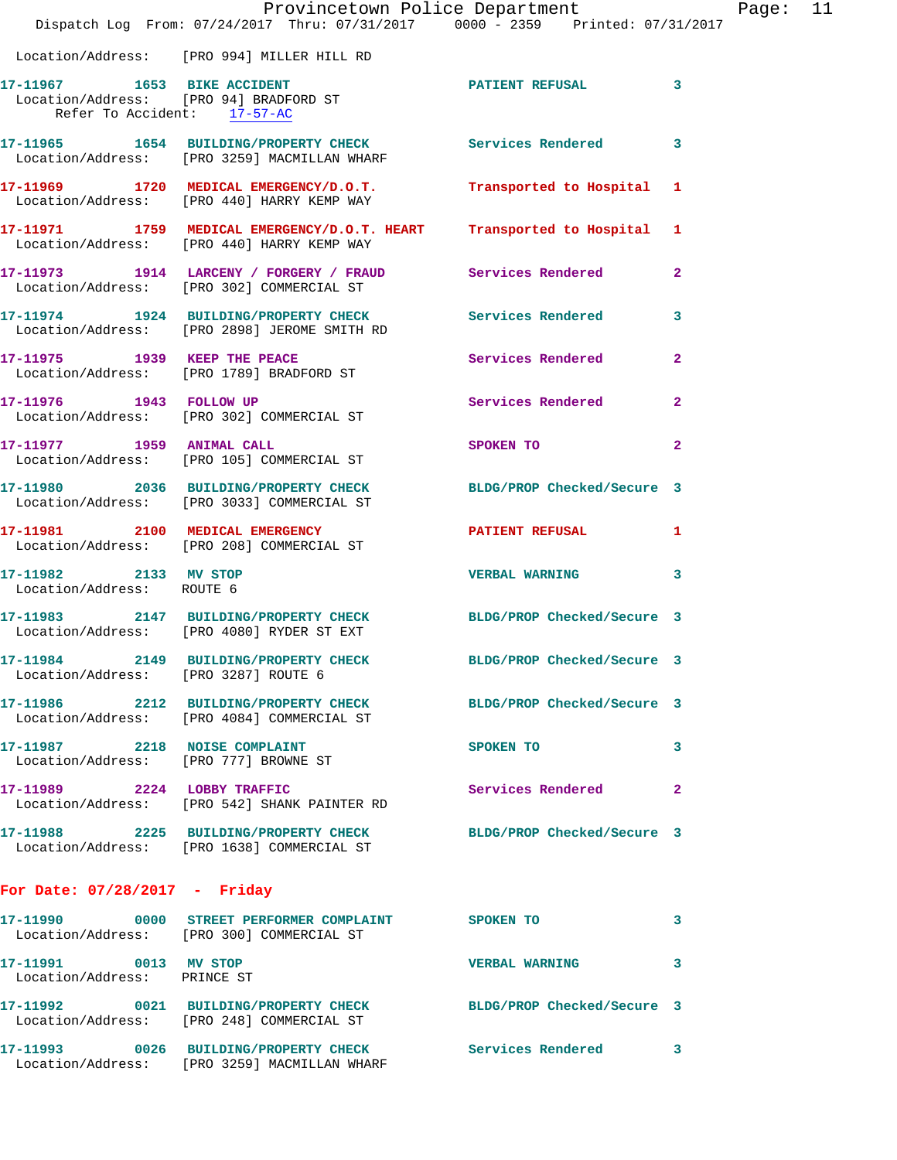|                                                                        | Provincetown Police Department<br>Dispatch Log From: 07/24/2017 Thru: 07/31/2017 0000 - 2359 Printed: 07/31/2017 |                            |                |
|------------------------------------------------------------------------|------------------------------------------------------------------------------------------------------------------|----------------------------|----------------|
|                                                                        | Location/Address: [PRO 994] MILLER HILL RD                                                                       |                            |                |
| Refer To Accident: 17-57-AC                                            | 17-11967 1653 BIKE ACCIDENT<br>Location/Address: [PRO 94] BRADFORD ST                                            | <b>PATIENT REFUSAL</b>     | 3              |
|                                                                        | 17-11965 1654 BUILDING/PROPERTY CHECK Services Rendered<br>Location/Address: [PRO 3259] MACMILLAN WHARF          |                            | 3              |
|                                                                        | 17-11969 1720 MEDICAL EMERGENCY/D.O.T.<br>Location/Address: [PRO 440] HARRY KEMP WAY                             | Transported to Hospital    | 1              |
|                                                                        | 17-11971 1759 MEDICAL EMERGENCY/D.O.T. HEART<br>Location/Address: [PRO 440] HARRY KEMP WAY                       | Transported to Hospital    | 1              |
|                                                                        | 17-11973 1914 LARCENY / FORGERY / FRAUD Services Rendered<br>Location/Address: [PRO 302] COMMERCIAL ST           |                            | $\overline{2}$ |
|                                                                        | 17-11974 1924 BUILDING/PROPERTY CHECK Services Rendered<br>Location/Address: [PRO 2898] JEROME SMITH RD          |                            | 3              |
|                                                                        | 17-11975 1939 KEEP THE PEACE<br>Location/Address: [PRO 1789] BRADFORD ST                                         | Services Rendered          | $\overline{a}$ |
|                                                                        | 17-11976 1943 FOLLOW UP<br>Location/Address: [PRO 302] COMMERCIAL ST                                             | Services Rendered          | $\mathbf{2}$   |
|                                                                        | 17-11977 1959 ANIMAL CALL<br>Location/Address: [PRO 105] COMMERCIAL ST                                           | SPOKEN TO                  | $\mathbf{2}$   |
|                                                                        | 17-11980 2036 BUILDING/PROPERTY CHECK<br>Location/Address: [PRO 3033] COMMERCIAL ST                              | BLDG/PROP Checked/Secure 3 |                |
|                                                                        | 17-11981 2100 MEDICAL EMERGENCY<br>Location/Address: [PRO 208] COMMERCIAL ST                                     | <b>PATIENT REFUSAL</b>     | 1              |
| 17-11982 2133 MV STOP<br>Location/Address: ROUTE 6                     |                                                                                                                  | <b>VERBAL WARNING</b>      | 3              |
|                                                                        | 17-11983 2147 BUILDING/PROPERTY CHECK<br>Location/Address: [PRO 4080] RYDER ST EXT                               | BLDG/PROP Checked/Secure 3 |                |
| Location/Address: [PRO 3287] ROUTE 6                                   | 17-11984 2149 BUILDING/PROPERTY CHECK                                                                            | BLDG/PROP Checked/Secure 3 |                |
|                                                                        | 17-11986 2212 BUILDING/PROPERTY CHECK<br>Location/Address: [PRO 4084] COMMERCIAL ST                              | BLDG/PROP Checked/Secure 3 |                |
| 17-11987 2218 NOISE COMPLAINT<br>Location/Address: [PRO 777] BROWNE ST |                                                                                                                  | SPOKEN TO                  | 3              |
| 17-11989 2224 LOBBY TRAFFIC                                            | Location/Address: [PRO 542] SHANK PAINTER RD                                                                     | Services Rendered          | $\mathbf{2}$   |
|                                                                        | 17-11988 2225 BUILDING/PROPERTY CHECK BLDG/PROP Checked/Secure 3<br>Location/Address: [PRO 1638] COMMERCIAL ST   |                            |                |
| For Date: $07/28/2017$ - Friday                                        |                                                                                                                  |                            |                |
|                                                                        | 17-11990 6000 STREET PERFORMER COMPLAINT SPOKEN TO<br>Location/Address: [PRO 300] COMMERCIAL ST                  |                            | 3              |
| 17-11991 0013 MV STOP<br>Location/Address: PRINCE ST                   |                                                                                                                  | <b>VERBAL WARNING</b>      | 3              |
|                                                                        | 17-11992 0021 BUILDING/PROPERTY CHECK<br>Location/Address: [PRO 248] COMMERCIAL ST                               | BLDG/PROP Checked/Secure 3 |                |

**17-11993 0026 BUILDING/PROPERTY CHECK Services Rendered 3** 

Location/Address: [PRO 3259] MACMILLAN WHARF

Page:  $11$ <br>017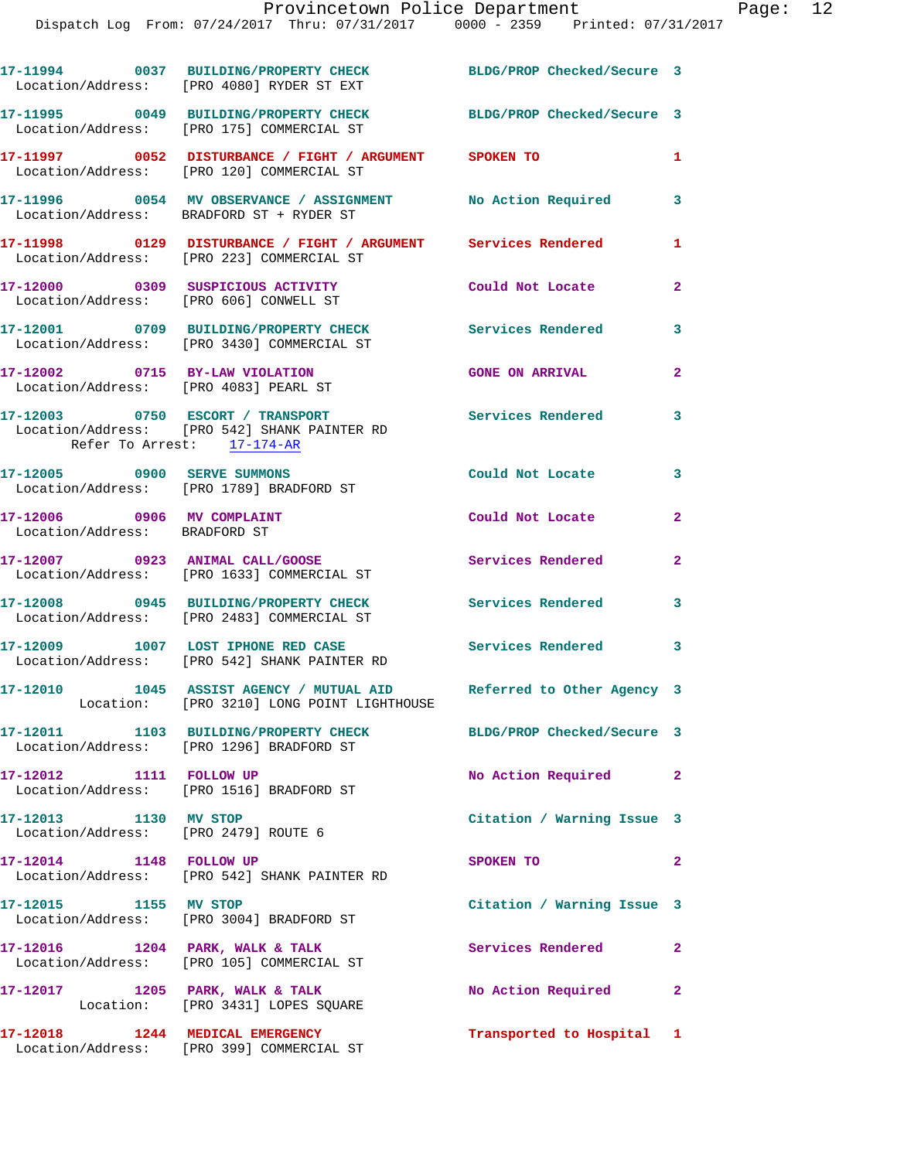|                                                             | 17-11994 0037 BUILDING/PROPERTY CHECK BLDG/PROP Checked/Secure 3<br>Location/Address: [PRO 4080] RYDER ST EXT     |                            |                |
|-------------------------------------------------------------|-------------------------------------------------------------------------------------------------------------------|----------------------------|----------------|
|                                                             | 17-11995 0049 BUILDING/PROPERTY CHECK<br>Location/Address: [PRO 175] COMMERCIAL ST                                | BLDG/PROP Checked/Secure 3 |                |
|                                                             | 17-11997 0052 DISTURBANCE / FIGHT / ARGUMENT SPOKEN TO<br>Location/Address: [PRO 120] COMMERCIAL ST               |                            | $\mathbf{1}$   |
|                                                             | 17-11996 60054 MV OBSERVANCE / ASSIGNMENT No Action Required<br>Location/Address: BRADFORD ST + RYDER ST          |                            | 3              |
|                                                             | 17-11998 0129 DISTURBANCE / FIGHT / ARGUMENT Services Rendered<br>Location/Address: [PRO 223] COMMERCIAL ST       |                            | 1              |
|                                                             | 17-12000 0309 SUSPICIOUS ACTIVITY<br>Location/Address: [PRO 606] CONWELL ST                                       | Could Not Locate           | $\mathbf{2}$   |
|                                                             | 17-12001 0709 BUILDING/PROPERTY CHECK<br>Location/Address: [PRO 3430] COMMERCIAL ST                               | <b>Services Rendered</b>   | 3              |
| 17-12002 0715 BY-LAW VIOLATION                              | Location/Address: [PRO 4083] PEARL ST                                                                             | <b>GONE ON ARRIVAL</b>     | $\overline{a}$ |
| Refer To Arrest: 17-174-AR                                  | 17-12003 0750 ESCORT / TRANSPORT<br>Location/Address: [PRO 542] SHANK PAINTER RD                                  | <b>Services Rendered</b>   | 3              |
| 17-12005 0900 SERVE SUMMONS                                 | Location/Address: [PRO 1789] BRADFORD ST                                                                          | Could Not Locate           | 3              |
| 17-12006 0906 MV COMPLAINT<br>Location/Address: BRADFORD ST |                                                                                                                   | Could Not Locate           | $\mathbf{2}$   |
|                                                             | 17-12007 0923 ANIMAL CALL/GOOSE<br>Location/Address: [PRO 1633] COMMERCIAL ST                                     | Services Rendered          | $\mathbf{2}$   |
|                                                             | 17-12008 0945 BUILDING/PROPERTY CHECK<br>Location/Address: [PRO 2483] COMMERCIAL ST                               | <b>Services Rendered</b>   | 3              |
|                                                             | 17-12009 1007 LOST IPHONE RED CASE<br>Location/Address: [PRO 542] SHANK PAINTER RD                                | Services Rendered 3        |                |
|                                                             | 17-12010 1045 ASSIST AGENCY / MUTUAL AID Referred to Other Agency 3<br>Location: [PRO 3210] LONG POINT LIGHTHOUSE |                            |                |
|                                                             | 17-12011 1103 BUILDING/PROPERTY CHECK<br>Location/Address: [PRO 1296] BRADFORD ST                                 | BLDG/PROP Checked/Secure 3 |                |
| 17-12012 1111 FOLLOW UP                                     | Location/Address: [PRO 1516] BRADFORD ST                                                                          | No Action Required         | $\mathbf{2}$   |
| 17-12013 1130 MV STOP                                       | Location/Address: [PRO 2479] ROUTE 6                                                                              | Citation / Warning Issue 3 |                |
| 17-12014 1148 FOLLOW UP                                     | Location/Address: [PRO 542] SHANK PAINTER RD                                                                      | SPOKEN TO                  | $\mathbf{2}$   |
| 17-12015 1155 MV STOP                                       | Location/Address: [PRO 3004] BRADFORD ST                                                                          | Citation / Warning Issue 3 |                |
|                                                             | 17-12016 1204 PARK, WALK & TALK<br>Location/Address: [PRO 105] COMMERCIAL ST                                      | Services Rendered          | $\mathbf{2}$   |
| $17-12017$ 1205 PARK, WALK & TALK                           | Location: [PRO 3431] LOPES SQUARE                                                                                 | No Action Required         | $\mathbf{2}$   |
|                                                             | 17-12018 1244 MEDICAL EMERGENCY<br>Location/Address: [PRO 399] COMMERCIAL ST                                      | Transported to Hospital 1  |                |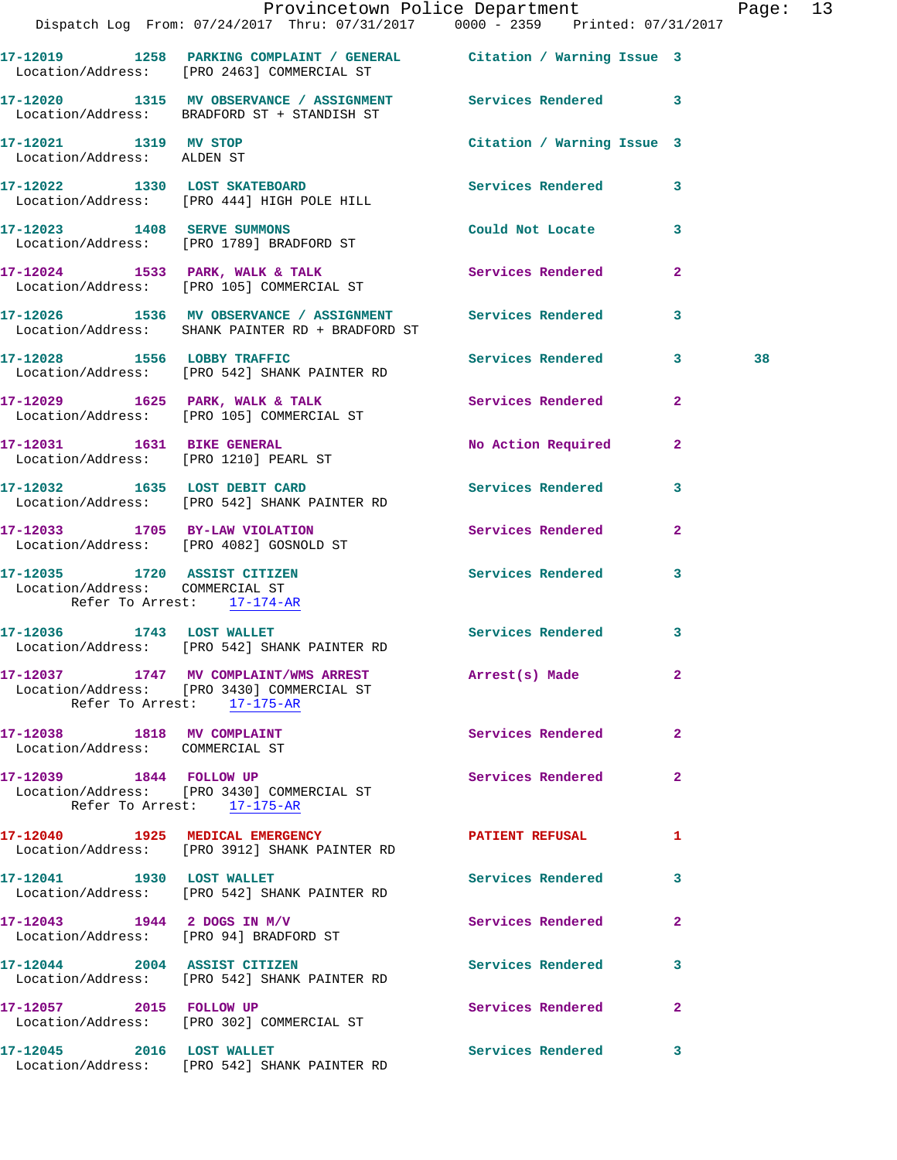|                                                               |                                                                                  | Provincetown Police Department The Page: 13<br>Dispatch Log From: 07/24/2017 Thru: 07/31/2017 0000 - 2359 Printed: 07/31/2017 |    |  |
|---------------------------------------------------------------|----------------------------------------------------------------------------------|-------------------------------------------------------------------------------------------------------------------------------|----|--|
|                                                               | Location/Address: [PRO 2463] COMMERCIAL ST                                       | 17-12019 1258 PARKING COMPLAINT / GENERAL Citation / Warning Issue 3                                                          |    |  |
|                                                               | Location/Address: BRADFORD ST + STANDISH ST                                      | 17-12020 1315 MV OBSERVANCE / ASSIGNMENT Services Rendered 3                                                                  |    |  |
| 17-12021 1319 MV STOP<br>Location/Address: ALDEN ST           |                                                                                  | Citation / Warning Issue 3                                                                                                    |    |  |
|                                                               |                                                                                  | 17-12022 1330 LOST SKATEBOARD Services Rendered 3<br>Location/Address: [PRO 444] HIGH POLE HILL                               |    |  |
|                                                               | 17-12023 1408 SERVE SUMMONS<br>Location/Address: [PRO 1789] BRADFORD ST          | Could Not Locate 3                                                                                                            |    |  |
|                                                               | Location/Address: [PRO 105] COMMERCIAL ST                                        | 17-12024 1533 PARK, WALK & TALK 1988 Services Rendered 2                                                                      |    |  |
|                                                               | Location/Address: SHANK PAINTER RD + BRADFORD ST                                 | 17-12026 1536 MV OBSERVANCE / ASSIGNMENT Services Rendered 3                                                                  |    |  |
|                                                               | Location/Address: [PRO 542] SHANK PAINTER RD                                     | 17-12028 1556 LOBBY TRAFFIC Services Rendered 3                                                                               | 38 |  |
|                                                               | Location/Address: [PRO 105] COMMERCIAL ST                                        | 17-12029 1625 PARK, WALK & TALK 1988 Services Rendered 2                                                                      |    |  |
| Location/Address: [PRO 1210] PEARL ST                         | 17-12031    1631 BIKE GENERAL                                                    | No Action Required 2                                                                                                          |    |  |
|                                                               | 17-12032 1635 LOST DEBIT CARD<br>Location/Address: [PRO 542] SHANK PAINTER RD    | Services Rendered 3                                                                                                           |    |  |
|                                                               | 17-12033 1705 BY-LAW VIOLATION<br>Location/Address: [PRO 4082] GOSNOLD ST        | Services Rendered 2                                                                                                           |    |  |
| Location/Address: COMMERCIAL ST<br>Refer To Arrest: 17-174-AR | 17-12035 1720 ASSIST CITIZEN<br>Location/Address: COMMERCIAL CE                  | Services Rendered 3                                                                                                           |    |  |
|                                                               | 17-12036 1743 LOST WALLET<br>Location/Address: [PRO 542] SHANK PAINTER RD        | Services Rendered 3                                                                                                           |    |  |
|                                                               | Location/Address: [PRO 3430] COMMERCIAL ST<br>Refer To Arrest: 17-175-AR         | 17-12037 1747 MV COMPLAINT/WMS ARREST Arrest(s) Made 2                                                                        |    |  |
| 17-12038 1818 MV COMPLAINT<br>Location/Address: COMMERCIAL ST |                                                                                  | <b>Services Rendered</b><br>$\mathbf{2}$                                                                                      |    |  |
| 17-12039 1844 FOLLOW UP                                       | Location/Address: [PRO 3430] COMMERCIAL ST<br>Refer To Arrest: 17-175-AR         | Services Rendered 2                                                                                                           |    |  |
|                                                               | 17-12040 1925 MEDICAL EMERGENCY<br>Location/Address: [PRO 3912] SHANK PAINTER RD | PATIENT REFUSAL<br>$\mathbf{1}$                                                                                               |    |  |
|                                                               | 17-12041 1930 LOST WALLET<br>Location/Address: [PRO 542] SHANK PAINTER RD        | Services Rendered<br>$\mathbf{3}$                                                                                             |    |  |
| 17-12043 1944 2 DOGS IN M/V                                   | Location/Address: [PRO 94] BRADFORD ST                                           | Services Rendered 2                                                                                                           |    |  |
|                                                               | 17-12044 2004 ASSIST CITIZEN<br>Location/Address: [PRO 542] SHANK PAINTER RD     | Services Rendered<br>$\mathbf{3}$                                                                                             |    |  |
| 17-12057 2015 FOLLOW UP                                       | Location/Address: [PRO 302] COMMERCIAL ST                                        | Services Rendered 2                                                                                                           |    |  |
|                                                               | 17-12045 2016 LOST WALLET<br>Location/Address: [PRO 542] SHANK PAINTER RD        | Services Rendered 3                                                                                                           |    |  |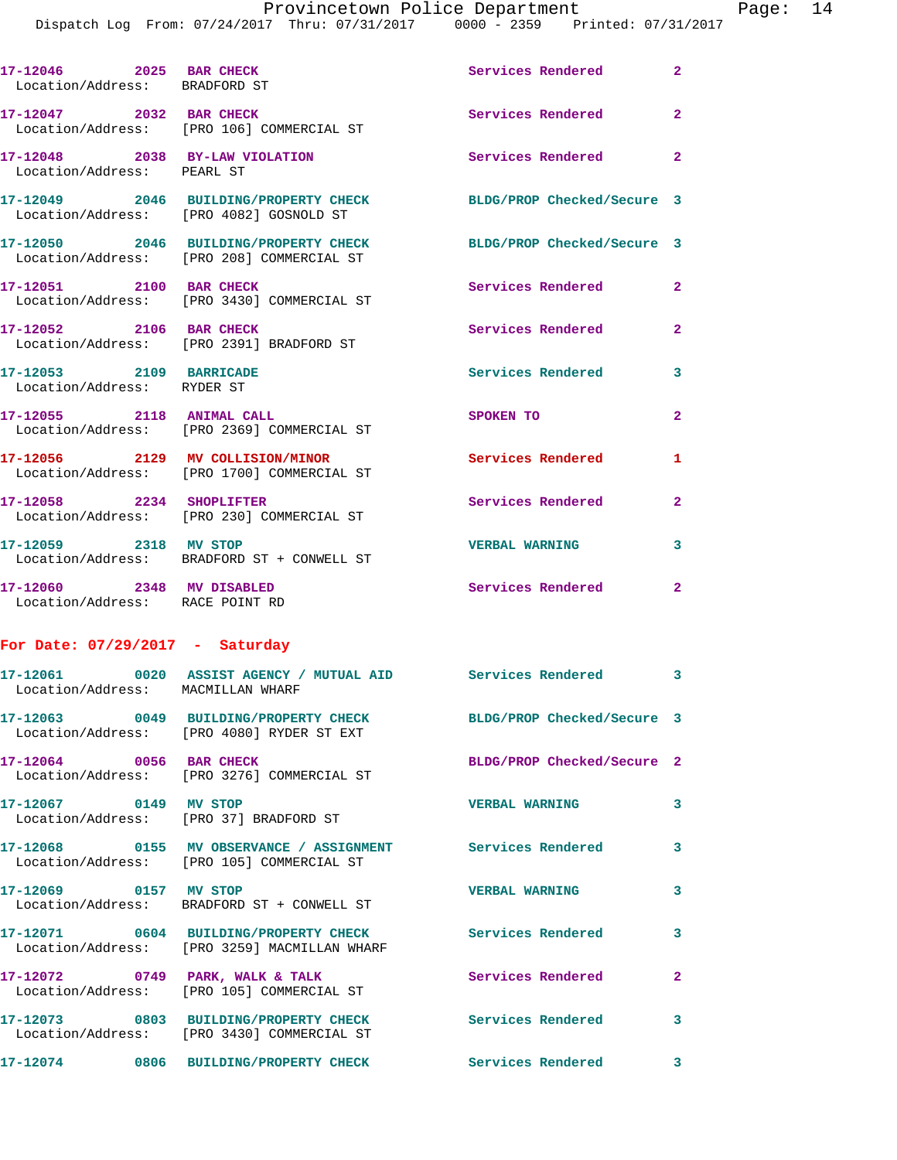|                                                              | Dispatch Log From: 07/24/2017 Thru: 07/31/2017 0000 - 2359 Printed: 07/31/2017                                |                            |                |
|--------------------------------------------------------------|---------------------------------------------------------------------------------------------------------------|----------------------------|----------------|
| 17-12046 2025 BAR CHECK<br>Location/Address: BRADFORD ST     |                                                                                                               | Services Rendered          | $\overline{a}$ |
|                                                              | 17-12047 2032 BAR CHECK<br>Location/Address: [PRO 106] COMMERCIAL ST                                          | <b>Services Rendered</b>   | $\mathbf{2}$   |
| Location/Address: PEARL ST                                   | 17-12048 2038 BY-LAW VIOLATION                                                                                | Services Rendered          | $\overline{2}$ |
|                                                              | 17-12049 2046 BUILDING/PROPERTY CHECK BLDG/PROP Checked/Secure 3<br>Location/Address: [PRO 4082] GOSNOLD ST   |                            |                |
|                                                              | 17-12050 2046 BUILDING/PROPERTY CHECK BLDG/PROP Checked/Secure 3<br>Location/Address: [PRO 208] COMMERCIAL ST |                            |                |
| 17-12051 2100 BAR CHECK                                      | Location/Address: [PRO 3430] COMMERCIAL ST                                                                    | <b>Services Rendered</b>   | $\mathbf{2}$   |
| 17-12052 2106 BAR CHECK                                      | Location/Address: [PRO 2391] BRADFORD ST                                                                      | Services Rendered          | $\mathbf{2}$   |
| 17-12053 2109 BARRICADE<br>Location/Address: RYDER ST        |                                                                                                               | <b>Services Rendered</b>   | 3              |
|                                                              | 17-12055 2118 ANIMAL CALL<br>Location/Address: [PRO 2369] COMMERCIAL ST                                       | SPOKEN TO                  | $\mathbf{2}$   |
|                                                              | 17-12056 2129 MV COLLISION/MINOR<br>Location/Address: [PRO 1700] COMMERCIAL ST                                | Services Rendered          | 1              |
| 17-12058 2234 SHOPLIFTER                                     | Location/Address: [PRO 230] COMMERCIAL ST                                                                     | <b>Services Rendered</b>   | 2              |
| 17-12059 2318 MV STOP                                        | Location/Address: BRADFORD ST + CONWELL ST                                                                    | <b>VERBAL WARNING</b>      | 3              |
| 17-12060 2348 MV DISABLED<br>Location/Address: RACE POINT RD |                                                                                                               | <b>Services Rendered</b>   | 2              |
| For Date: $07/29/2017$ - Saturday                            |                                                                                                               |                            |                |
| Location/Address: MACMILLAN WHARF                            |                                                                                                               |                            |                |
|                                                              | 17-12063 0049 BUILDING/PROPERTY CHECK BLDG/PROP Checked/Secure 3<br>Location/Address: [PRO 4080] RYDER ST EXT |                            |                |
| 17-12064 0056 BAR CHECK                                      | Location/Address: [PRO 3276] COMMERCIAL ST                                                                    | BLDG/PROP Checked/Secure 2 |                |
| 17-12067 0149 MV STOP                                        | Location/Address: [PRO 37] BRADFORD ST                                                                        | <b>VERBAL WARNING</b>      | 3              |
|                                                              | 17-12068 0155 MV OBSERVANCE / ASSIGNMENT Services Rendered<br>Location/Address: [PRO 105] COMMERCIAL ST       |                            | 3              |
| 17-12069 0157 MV STOP                                        | Location/Address: BRADFORD ST + CONWELL ST                                                                    | <b>VERBAL WARNING</b>      | 3              |
|                                                              | 17-12071 0604 BUILDING/PROPERTY CHECK<br>Location/Address: [PRO 3259] MACMILLAN WHARF                         | <b>Services Rendered</b>   | 3              |
|                                                              | 17-12072 0749 PARK, WALK & TALK<br>Location/Address: [PRO 105] COMMERCIAL ST                                  | Services Rendered          | 2              |
|                                                              | 17-12073 0803 BUILDING/PROPERTY CHECK<br>Location/Address: [PRO 3430] COMMERCIAL ST                           | <b>Services Rendered</b>   | 3              |
|                                                              | 17-12074 0806 BUILDING/PROPERTY CHECK                                                                         | Services Rendered          | 3              |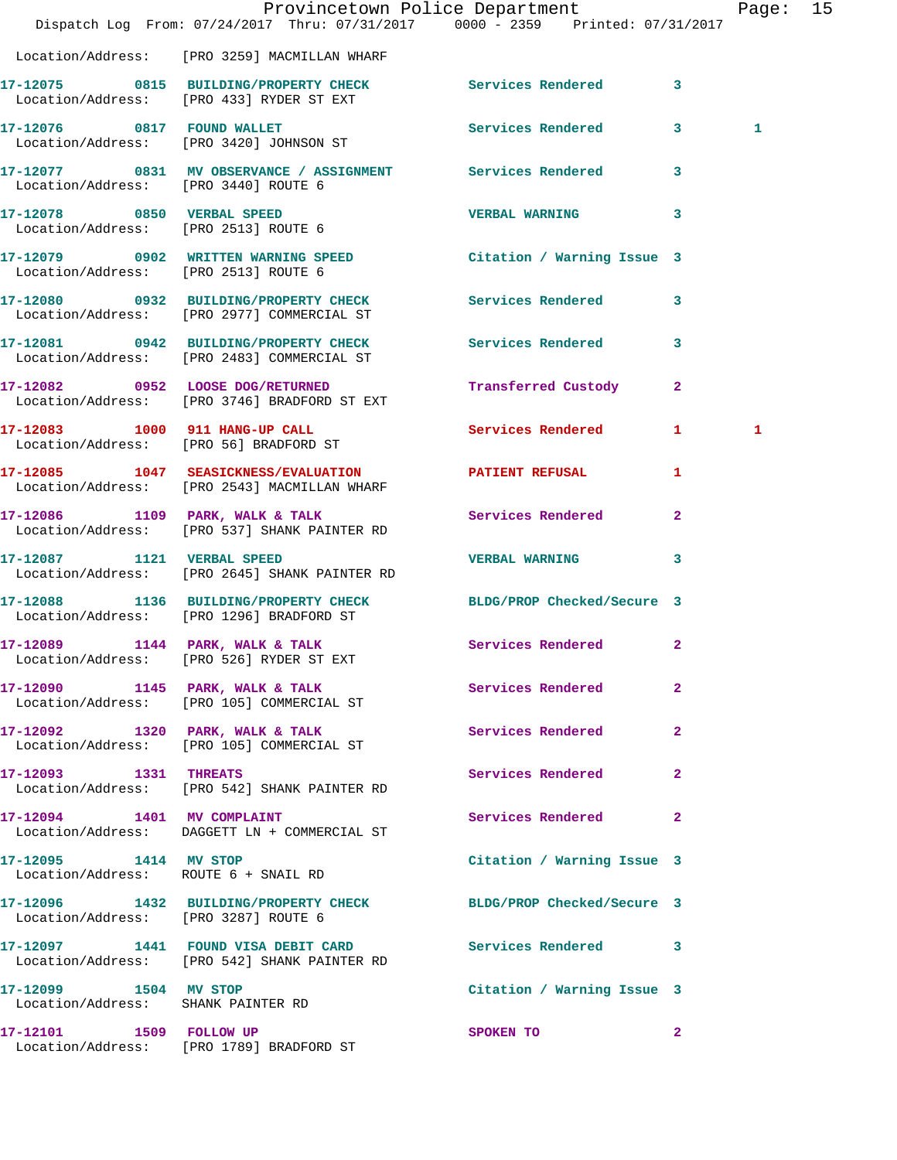|                                                             | Dispatch Log From: 07/24/2017 Thru: 07/31/2017 0000 - 2359 Printed: 07/31/2017                                     | Provincetown Police Department |              | Page: 15 |  |
|-------------------------------------------------------------|--------------------------------------------------------------------------------------------------------------------|--------------------------------|--------------|----------|--|
|                                                             | Location/Address: [PRO 3259] MACMILLAN WHARF                                                                       |                                |              |          |  |
|                                                             | 17-12075 0815 BUILDING/PROPERTY CHECK Services Rendered 3<br>Location/Address: [PRO 433] RYDER ST EXT              |                                |              |          |  |
|                                                             | 17-12076 0817 FOUND WALLET<br>Location/Address: [PRO 3420] JOHNSON ST                                              | Services Rendered 3            |              | 1        |  |
| Location/Address: [PRO 3440] ROUTE 6                        | 17-12077 0831 MV OBSERVANCE / ASSIGNMENT Services Rendered 3                                                       |                                |              |          |  |
| Location/Address: [PRO 2513] ROUTE 6                        | 17-12078 0850 VERBAL SPEED                                                                                         | VERBAL WARNING 3               |              |          |  |
| Location/Address: [PRO 2513] ROUTE 6                        | 17-12079 0902 WRITTEN WARNING SPEED                                                                                | Citation / Warning Issue 3     |              |          |  |
|                                                             | 17-12080 0932 BUILDING/PROPERTY CHECK Services Rendered 3<br>Location/Address: [PRO 2977] COMMERCIAL ST            |                                |              |          |  |
|                                                             | 17-12081 0942 BUILDING/PROPERTY CHECK Services Rendered 3<br>Location/Address: [PRO 2483] COMMERCIAL ST            |                                |              |          |  |
|                                                             | 17-12082 0952 LOOSE DOG/RETURNED<br>Location/Address: [PRO 3746] BRADFORD ST EXT                                   | Transferred Custody 2          |              |          |  |
|                                                             | 17-12083 1000 911 HANG-UP CALL<br>Location/Address: [PRO 56] BRADFORD ST                                           | Services Rendered 1            |              | 1        |  |
|                                                             | 17-12085 1047 SEASICKNESS/EVALUATION PATIENT REFUSAL<br>Location/Address: [PRO 2543] MACMILLAN WHARF               |                                | 1            |          |  |
|                                                             | 17-12086 1109 PARK, WALK & TALK<br>Location/Address: [PRO 537] SHANK PAINTER RD                                    | Services Rendered              | $\mathbf{2}$ |          |  |
|                                                             | 17-12087 1121 VERBAL SPEED<br>Location/Address: [PRO 2645] SHANK PAINTER RD                                        | VERBAL WARNING 3               |              |          |  |
|                                                             | 17-12088 1136 BUILDING/PROPERTY CHECK BLDG/PROP Checked/Secure 3<br>Location/Address: [PRO 1296] BRADFORD ST       |                                |              |          |  |
|                                                             | 17-12089 1144 PARK, WALK & TALK Services Rendered 2<br>Location/Address: [PRO 526] RYDER ST EXT                    |                                |              |          |  |
|                                                             | 17-12090 1145 PARK, WALK & TALK<br>Location/Address: [PRO 105] COMMERCIAL ST                                       | <b>Services Rendered</b> 2     |              |          |  |
|                                                             | 17-12092 1320 PARK, WALK & TALK<br>Location/Address: [PRO 105] COMMERCIAL ST                                       | Services Rendered 2            |              |          |  |
| 17-12093 1331 THREATS                                       | Location/Address: [PRO 542] SHANK PAINTER RD                                                                       | Services Rendered 2            |              |          |  |
|                                                             | 17-12094 1401 MV COMPLAINT<br>Location/Address: DAGGETT LN + COMMERCIAL ST                                         | Services Rendered 2            |              |          |  |
| 17-12095 1414 MV STOP                                       | Location/Address: ROUTE 6 + SNAIL RD                                                                               | Citation / Warning Issue 3     |              |          |  |
|                                                             | 17-12096   1432   BUILDING/PROPERTY CHECK   BLDG/PROP Checked/Secure   3<br>Location/Address: [PRO 3287] ROUTE   6 |                                |              |          |  |
|                                                             | 17-12097 1441 FOUND VISA DEBIT CARD Services Rendered 3<br>Location/Address: [PRO 542] SHANK PAINTER RD            |                                |              |          |  |
| 17-12099 1504 MV STOP<br>Location/Address: SHANK PAINTER RD |                                                                                                                    | Citation / Warning Issue 3     |              |          |  |
| 17-12101 1509 FOLLOW UP                                     | Location/Address: [PRO 1789] BRADFORD ST                                                                           | SPOKEN TO                      | $\mathbf{2}$ |          |  |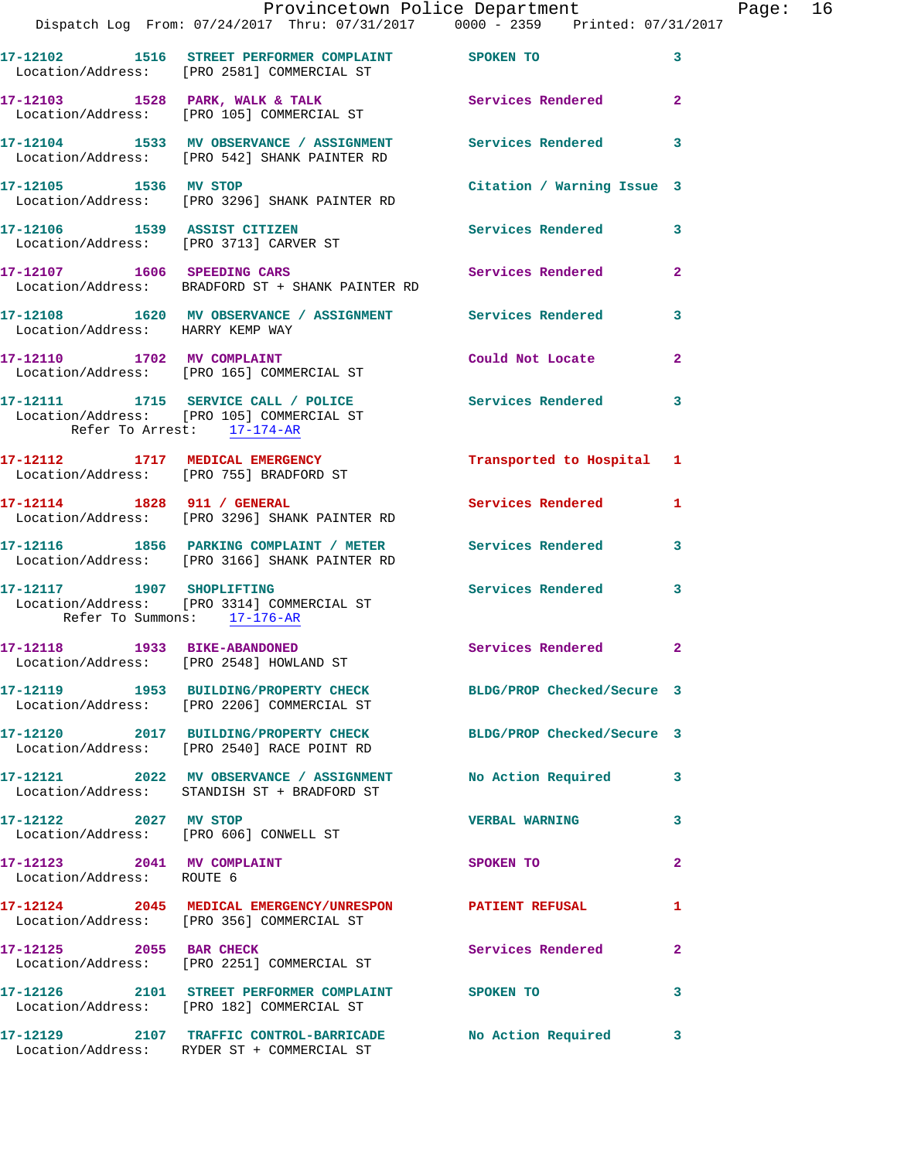|                                                         | Dispatch Log From: 07/24/2017 Thru: 07/31/2017 0000 - 2359 Printed: 07/31/2017                                 | Provincetown Police Department |                         | Page: 16 |  |
|---------------------------------------------------------|----------------------------------------------------------------------------------------------------------------|--------------------------------|-------------------------|----------|--|
|                                                         | 17-12102 1516 STREET PERFORMER COMPLAINT SPOKEN TO<br>Location/Address: [PRO 2581] COMMERCIAL ST               |                                | $\overline{\mathbf{3}}$ |          |  |
|                                                         | 17-12103 1528 PARK, WALK & TALK 1988 Services Rendered 2<br>Location/Address: [PRO 105] COMMERCIAL ST          |                                |                         |          |  |
|                                                         | 17-12104 1533 MV OBSERVANCE / ASSIGNMENT Services Rendered 3<br>Location/Address: [PRO 542] SHANK PAINTER RD   |                                |                         |          |  |
| 17-12105 1536 MV STOP                                   | Location/Address: [PRO 3296] SHANK PAINTER RD                                                                  | Citation / Warning Issue 3     |                         |          |  |
|                                                         | 17-12106 1539 ASSIST CITIZEN<br>Location/Address: [PRO 3713] CARVER ST                                         | Services Rendered 3            |                         |          |  |
|                                                         | 17-12107 1606 SPEEDING CARS<br>Location/Address: BRADFORD ST + SHANK PAINTER RD                                | Services Rendered              | $\mathbf{2}$            |          |  |
| Location/Address: HARRY KEMP WAY                        | 17-12108 1620 MV OBSERVANCE / ASSIGNMENT Services Rendered 3                                                   |                                |                         |          |  |
|                                                         | 17-12110 1702 MV COMPLAINT<br>Location/Address: [PRO 165] COMMERCIAL ST                                        | Could Not Locate               | $\overline{2}$          |          |  |
| Refer To Arrest: 17-174-AR                              | 17-12111 1715 SERVICE CALL / POLICE 3 Services Rendered 3<br>Location/Address: [PRO 105] COMMERCIAL ST         |                                |                         |          |  |
|                                                         | 17-12112 1717 MEDICAL EMERGENCY<br>Location/Address: [PRO 755] BRADFORD ST                                     | Transported to Hospital 1      |                         |          |  |
|                                                         | 17-12114 1828 911 / GENERAL<br>Location/Address: [PRO 3296] SHANK PAINTER RD                                   | Services Rendered 1            |                         |          |  |
|                                                         | 17-12116 1856 PARKING COMPLAINT / METER Services Rendered 3<br>Location/Address: [PRO 3166] SHANK PAINTER RD   |                                |                         |          |  |
| Refer To Summons: 17-176-AR                             | 17-12117 1907 SHOPLIFTING<br>Location/Address: [PRO 3314] COMMERCIAL ST                                        | Services Rendered              | $\overline{\mathbf{3}}$ |          |  |
|                                                         | 17-12118 1933 BIKE-ABANDONED Services Rendered 2<br>Location/Address: [PRO 2548] HOWLAND ST                    |                                |                         |          |  |
|                                                         | 17-12119 1953 BUILDING/PROPERTY CHECK BLDG/PROP Checked/Secure 3<br>Location/Address: [PRO 2206] COMMERCIAL ST |                                |                         |          |  |
|                                                         | 17-12120 2017 BUILDING/PROPERTY CHECK BLDG/PROP Checked/Secure 3<br>Location/Address: [PRO 2540] RACE POINT RD |                                |                         |          |  |
|                                                         | 17-12121 2022 MV OBSERVANCE / ASSIGNMENT No Action Required 3<br>Location/Address: STANDISH ST + BRADFORD ST   |                                |                         |          |  |
|                                                         | 17-12122 2027 MV STOP<br>Location/Address: [PRO 606] CONWELL ST                                                | <b>VERBAL WARNING</b>          | $\mathbf{3}$            |          |  |
| 17-12123 2041 MV COMPLAINT<br>Location/Address: ROUTE 6 |                                                                                                                | SPOKEN TO                      | $\mathbf{2}$            |          |  |
|                                                         | 17-12124 2045 MEDICAL EMERGENCY/UNRESPON PATIENT REFUSAL<br>Location/Address: [PRO 356] COMMERCIAL ST          |                                | 1                       |          |  |
|                                                         | 17-12125 2055 BAR CHECK<br>Location/Address: [PRO 2251] COMMERCIAL ST                                          | Services Rendered              | $\mathbf{2}$            |          |  |
|                                                         | 17-12126 2101 STREET PERFORMER COMPLAINT SPOKEN TO<br>Location/Address: [PRO 182] COMMERCIAL ST                |                                | 3                       |          |  |
|                                                         | 17-12129 2107 TRAFFIC CONTROL-BARRICADE No Action Required 3<br>Location/Address: RYDER ST + COMMERCIAL ST     |                                |                         |          |  |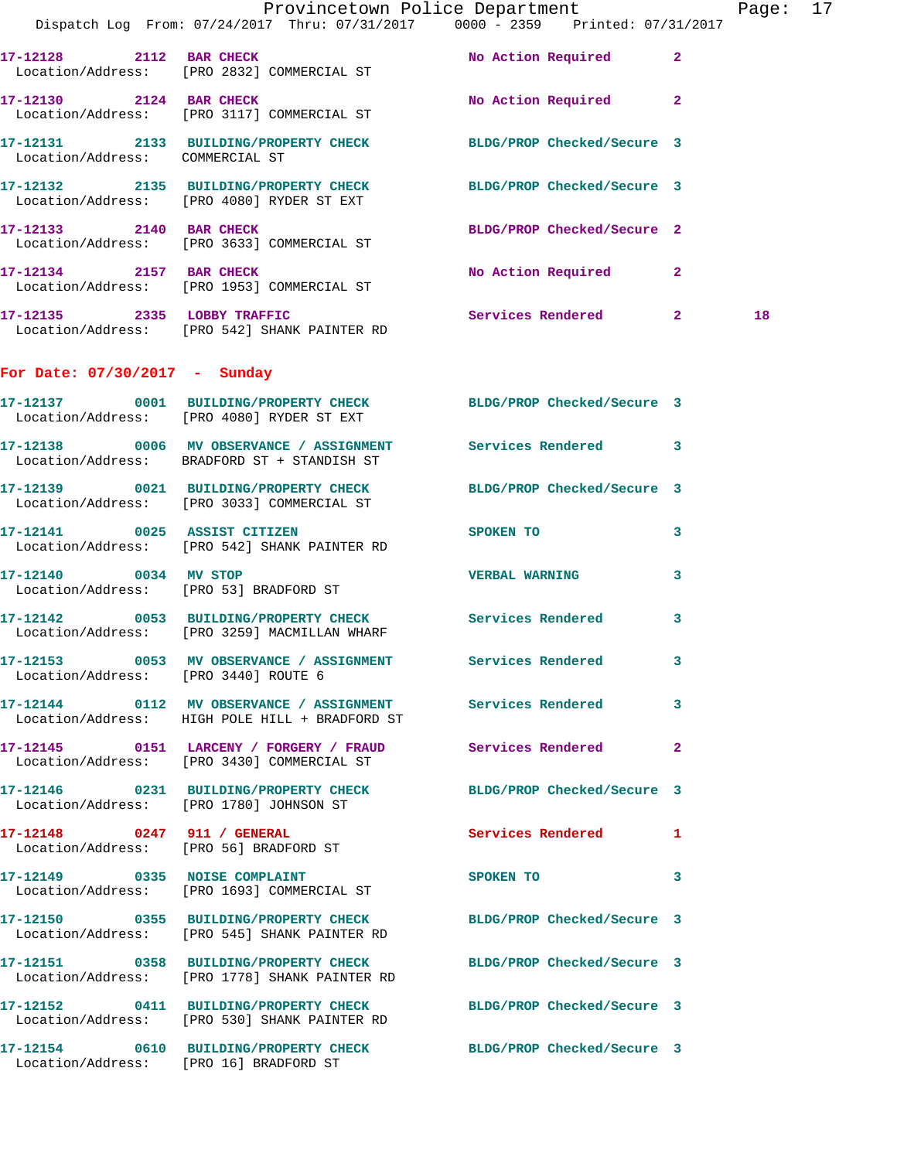|                                      | Dispatch Log From: 07/24/2017 Thru: 07/31/2017 0000 - 2359 Printed: 07/31/2017                                    | Provincetown Police Department                                                                                                                                                                                                     | Page: 17 |
|--------------------------------------|-------------------------------------------------------------------------------------------------------------------|------------------------------------------------------------------------------------------------------------------------------------------------------------------------------------------------------------------------------------|----------|
|                                      |                                                                                                                   |                                                                                                                                                                                                                                    |          |
|                                      | 17-12128 2112 BAR CHECK<br>Location/Address: [PRO 2832] COMMERCIAL ST                                             | No Action Required 2                                                                                                                                                                                                               |          |
|                                      | 17-12130 2124 BAR CHECK<br>Location/Address: [PRO 3117] COMMERCIAL ST                                             | No Action Required 2                                                                                                                                                                                                               |          |
|                                      | 17-12131 2133 BUILDING/PROPERTY CHECK BLDG/PROP Checked/Secure 3<br>Location/Address: COMMERCIAL ST               |                                                                                                                                                                                                                                    |          |
|                                      | 17-12132 2135 BUILDING/PROPERTY CHECK BLDG/PROP Checked/Secure 3<br>Location/Address: [PRO 4080] RYDER ST EXT     |                                                                                                                                                                                                                                    |          |
|                                      | 17-12133 2140 BAR CHECK<br>Location/Address: [PRO 3633] COMMERCIAL ST                                             | BLDG/PROP Checked/Secure 2                                                                                                                                                                                                         |          |
|                                      | 17-12134 2157 BAR CHECK<br>Location/Address: [PRO 1953] COMMERCIAL ST                                             | No Action Required 2                                                                                                                                                                                                               |          |
|                                      | 17-12135 2335 LOBBY TRAFFIC<br>Location/Address: [PRO 542] SHANK PAINTER RD                                       | Services Rendered 2                                                                                                                                                                                                                | 18       |
| For Date: $07/30/2017$ - Sunday      |                                                                                                                   |                                                                                                                                                                                                                                    |          |
|                                      | 17-12137 0001 BUILDING/PROPERTY CHECK BLDG/PROP Checked/Secure 3<br>Location/Address: [PRO 4080] RYDER ST EXT     |                                                                                                                                                                                                                                    |          |
|                                      | 17-12138 0006 MV OBSERVANCE / ASSIGNMENT Services Rendered 3<br>Location/Address: BRADFORD ST + STANDISH ST       |                                                                                                                                                                                                                                    |          |
|                                      | 17-12139 0021 BUILDING/PROPERTY CHECK BLDG/PROP Checked/Secure 3<br>Location/Address: [PRO 3033] COMMERCIAL ST    |                                                                                                                                                                                                                                    |          |
|                                      | 17-12141 0025 ASSIST CITIZEN<br>Location/Address: [PRO 542] SHANK PAINTER RD                                      | SPOKEN TO THE STATE OF THE STATE OF THE STATE OF THE STATE OF THE STATE OF THE STATE OF THE STATE OF THE STATE OF THE STATE OF THE STATE OF THE STATE OF THE STATE OF THE STATE OF THE STATE OF THE STATE OF THE STATE OF THE<br>3 |          |
| 17-12140 0034 MV STOP                | Location/Address: [PRO 53] BRADFORD ST                                                                            | <b>VERBAL WARNING</b><br>$\mathbf{3}$                                                                                                                                                                                              |          |
|                                      | 17-12142 0053 BUILDING/PROPERTY CHECK Services Rendered 3<br>Location/Address: [PRO 3259] MACMILLAN WHARF         |                                                                                                                                                                                                                                    |          |
| Location/Address: [PRO 3440] ROUTE 6 | 17-12153 6053 MV OBSERVANCE / ASSIGNMENT Services Rendered 3                                                      |                                                                                                                                                                                                                                    |          |
|                                      | 17-12144 0112 MV OBSERVANCE / ASSIGNMENT Services Rendered 3<br>Location/Address: HIGH POLE HILL + BRADFORD ST    |                                                                                                                                                                                                                                    |          |
|                                      | Location/Address: [PRO 3430] COMMERCIAL ST                                                                        |                                                                                                                                                                                                                                    |          |
|                                      | 17-12146 0231 BUILDING/PROPERTY CHECK BLDG/PROP Checked/Secure 3<br>Location/Address: [PRO 1780] JOHNSON ST       |                                                                                                                                                                                                                                    |          |
|                                      | 17-12148 0247 911 / GENERAL<br>Location/Address: [PRO 56] BRADFORD ST                                             | Services Rendered 1                                                                                                                                                                                                                |          |
|                                      | 17-12149 0335 NOISE COMPLAINT<br>Location/Address: [PRO 1693] COMMERCIAL ST                                       | SPOKEN TO 3                                                                                                                                                                                                                        |          |
|                                      | 17-12150 0355 BUILDING/PROPERTY CHECK BLDG/PROP Checked/Secure 3<br>Location/Address: [PRO 545] SHANK PAINTER RD  |                                                                                                                                                                                                                                    |          |
|                                      | 17-12151 0358 BUILDING/PROPERTY CHECK BLDG/PROP Checked/Secure 3<br>Location/Address: [PRO 1778] SHANK PAINTER RD |                                                                                                                                                                                                                                    |          |
|                                      | 17-12152 0411 BUILDING/PROPERTY CHECK BLDG/PROP Checked/Secure 3<br>Location/Address: [PRO 530] SHANK PAINTER RD  |                                                                                                                                                                                                                                    |          |
|                                      | 17-12154 0610 BUILDING/PROPERTY CHECK BLDG/PROP Checked/Secure 3<br>Location/Address: [PRO 16] BRADFORD ST        |                                                                                                                                                                                                                                    |          |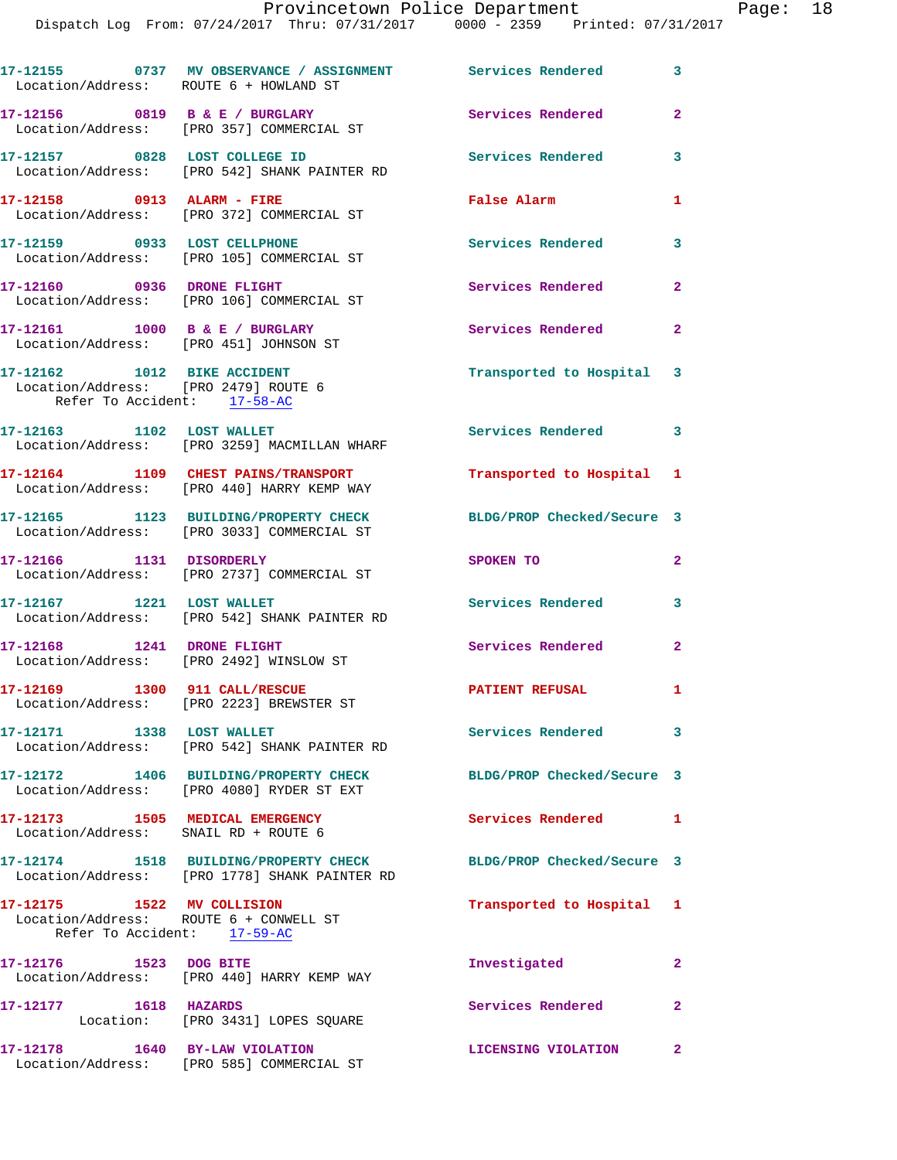| Location/Address: ROUTE 6 + HOWLAND ST                                                              | 17-12155 0737 MV OBSERVANCE / ASSIGNMENT Services Rendered                             |                            | $\overline{\mathbf{3}}$ |
|-----------------------------------------------------------------------------------------------------|----------------------------------------------------------------------------------------|----------------------------|-------------------------|
|                                                                                                     | 17-12156 0819 B & E / BURGLARY<br>Location/Address: [PRO 357] COMMERCIAL ST            | <b>Services Rendered</b>   | $\overline{2}$          |
| 17-12157 0828 LOST COLLEGE ID                                                                       | Location/Address: [PRO 542] SHANK PAINTER RD                                           | <b>Services Rendered</b>   | $\mathbf{3}$            |
| 17-12158 0913 ALARM - FIRE                                                                          | Location/Address: [PRO 372] COMMERCIAL ST                                              | False Alarm                | 1                       |
| 17-12159 0933 LOST CELLPHONE                                                                        | Location/Address: [PRO 105] COMMERCIAL ST                                              | Services Rendered          | $\mathbf{3}$            |
|                                                                                                     | 17-12160 0936 DRONE FLIGHT<br>Location/Address: [PRO 106] COMMERCIAL ST                | Services Rendered          | $\mathbf{2}$            |
| $17 - 12161$ 1000 B & E / BURGLARY<br>Location/Address: [PRO 451] JOHNSON ST                        |                                                                                        | Services Rendered          | $\mathbf{2}$            |
| 17-12162 1012 BIKE ACCIDENT<br>Location/Address: [PRO 2479] ROUTE 6<br>Refer To Accident: 17-58-AC  |                                                                                        | Transported to Hospital 3  |                         |
| 17-12163 1102 LOST WALLET                                                                           | Location/Address: [PRO 3259] MACMILLAN WHARF                                           | Services Rendered 3        |                         |
|                                                                                                     | 17-12164 1109 CHEST PAINS/TRANSPORT<br>Location/Address: [PRO 440] HARRY KEMP WAY      | Transported to Hospital 1  |                         |
|                                                                                                     | 17-12165 1123 BUILDING/PROPERTY CHECK<br>Location/Address: [PRO 3033] COMMERCIAL ST    | BLDG/PROP Checked/Secure 3 |                         |
| 17-12166 1131 DISORDERLY                                                                            | Location/Address: [PRO 2737] COMMERCIAL ST                                             | SPOKEN TO                  | $\mathbf{2}$            |
| 17-12167 1221 LOST WALLET                                                                           | Location/Address: [PRO 542] SHANK PAINTER RD                                           | Services Rendered          | 3                       |
| 17-12168 1241 DRONE FLIGHT<br>Location/Address: [PRO 2492] WINSLOW ST                               |                                                                                        | <b>Services Rendered</b>   | $\mathbf{2}$            |
| 17-12169    1300    911    CALL/RESCUE                                                              | Location/Address: [PRO 2223] BREWSTER ST                                               | <b>PATIENT REFUSAL</b>     | 1                       |
| 17-12171 1338 LOST WALLET                                                                           | Location/Address: [PRO 542] SHANK PAINTER RD                                           | Services Rendered 3        |                         |
|                                                                                                     | 17-12172 1406 BUILDING/PROPERTY CHECK<br>Location/Address: [PRO 4080] RYDER ST EXT     | BLDG/PROP Checked/Secure 3 |                         |
| 17-12173 1505 MEDICAL EMERGENCY<br>Location/Address: SNAIL RD + ROUTE 6                             |                                                                                        | Services Rendered 1        |                         |
|                                                                                                     | 17-12174 1518 BUILDING/PROPERTY CHECK<br>Location/Address: [PRO 1778] SHANK PAINTER RD | BLDG/PROP Checked/Secure 3 |                         |
| 17-12175 1522 MV COLLISION<br>Location/Address: ROUTE 6 + CONWELL ST<br>Refer To Accident: 17-59-AC |                                                                                        | Transported to Hospital 1  |                         |
| 17-12176 1523 DOG BITE                                                                              | Location/Address: [PRO 440] HARRY KEMP WAY                                             | Investigated               | $\mathbf{2}$            |
| 17-12177 1618 HAZARDS                                                                               | Location: [PRO 3431] LOPES SQUARE                                                      | Services Rendered          | $\overline{2}$          |
|                                                                                                     | 17-12178 1640 BY-LAW VIOLATION<br>Location/Address: [PRO 585] COMMERCIAL ST            | LICENSING VIOLATION 2      |                         |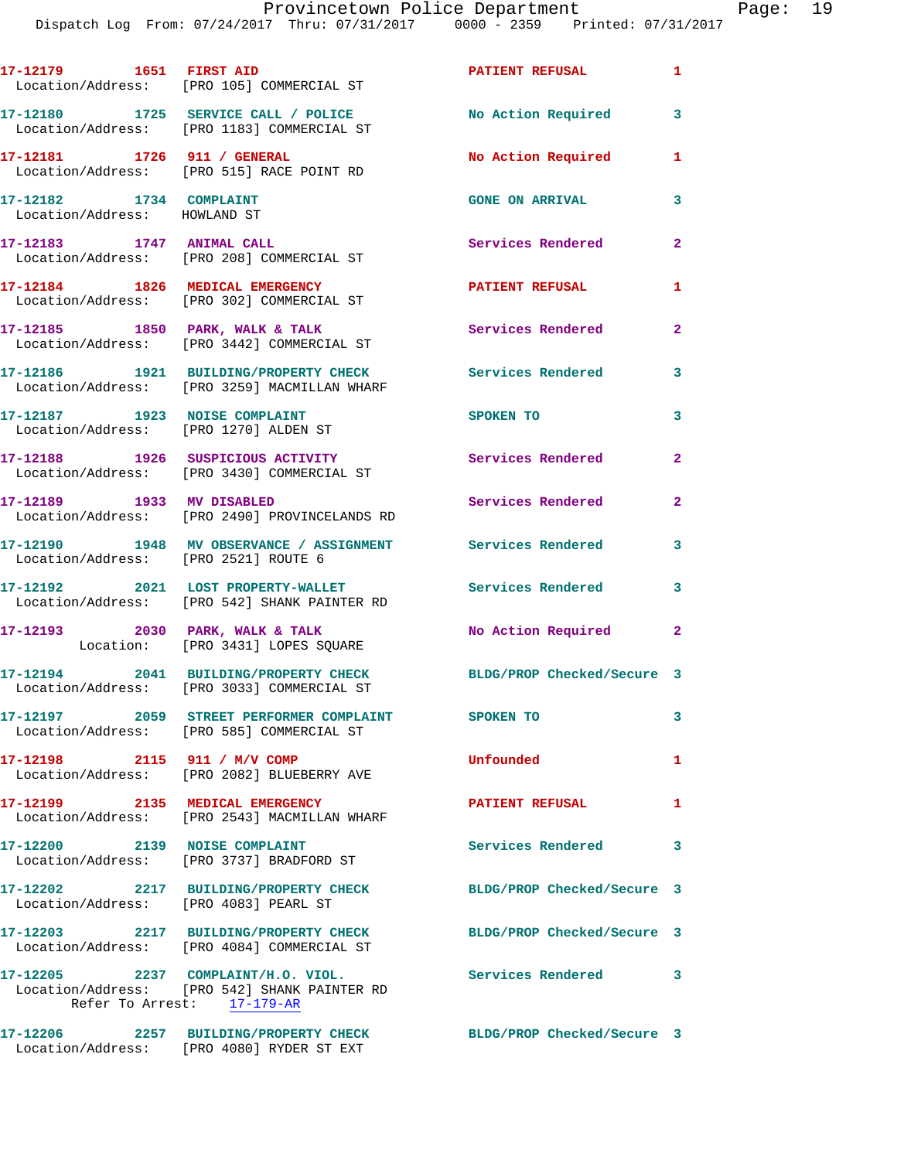|                                                         | Location/Address: [PRO 105] COMMERCIAL ST                                                                        | PATIENT REFUSAL 1          |                |
|---------------------------------------------------------|------------------------------------------------------------------------------------------------------------------|----------------------------|----------------|
|                                                         | 17-12180 1725 SERVICE CALL / POLICE<br>Location/Address: [PRO 1183] COMMERCIAL ST                                | No Action Required         | 3              |
| 17-12181 1726 911 / GENERAL                             | Location/Address: [PRO 515] RACE POINT RD                                                                        | No Action Required         | $\mathbf{1}$   |
| 17-12182 1734 COMPLAINT<br>Location/Address: HOWLAND ST |                                                                                                                  | <b>GONE ON ARRIVAL</b>     | 3              |
| 17-12183 1747 ANIMAL CALL                               | Location/Address: [PRO 208] COMMERCIAL ST                                                                        | Services Rendered          | $\mathbf{2}$   |
|                                                         | 17-12184 1826 MEDICAL EMERGENCY<br>Location/Address: [PRO 302] COMMERCIAL ST                                     | PATIENT REFUSAL            | $\mathbf{1}$   |
|                                                         | 17-12185 1850 PARK, WALK & TALK<br>Location/Address: [PRO 3442] COMMERCIAL ST                                    | <b>Services Rendered</b>   | $\overline{2}$ |
|                                                         | 17-12186 1921 BUILDING/PROPERTY CHECK<br>Location/Address: [PRO 3259] MACMILLAN WHARF                            | Services Rendered          | 3              |
| 17-12187 1923 NOISE COMPLAINT                           | Location/Address: [PRO 1270] ALDEN ST                                                                            | SPOKEN TO                  | 3              |
|                                                         | 17-12188    1926    SUSPICIOUS ACTIVITY<br>Location/Address: [PRO 3430] COMMERCIAL ST                            | <b>Services Rendered</b>   | $\mathbf{2}$   |
|                                                         | 17-12189 1933 MV DISABLED<br>Location/Address: [PRO 2490] PROVINCELANDS RD                                       | Services Rendered          | $\mathbf{2}$   |
| Location/Address: [PRO 2521] ROUTE 6                    | 17-12190 1948 MV OBSERVANCE / ASSIGNMENT Services Rendered                                                       |                            | $\mathbf{3}$   |
|                                                         | 17-12192 2021 LOST PROPERTY-WALLET<br>Location/Address: [PRO 542] SHANK PAINTER RD                               | Services Rendered          | 3              |
| 17-12193 2030 PARK, WALK & TALK                         | Location: [PRO 3431] LOPES SQUARE                                                                                | No Action Required 2       |                |
|                                                         | 17-12194 2041 BUILDING/PROPERTY CHECK<br>Location/Address: [PRO 3033] COMMERCIAL ST                              | BLDG/PROP Checked/Secure 3 |                |
|                                                         | Location/Address: [PRO 585] COMMERCIAL ST                                                                        |                            | 3              |
| 17-12198 2115 911 / M/V COMP                            | Location/Address: [PRO 2082] BLUEBERRY AVE                                                                       | Unfounded                  | $\mathbf{1}$   |
| 17-12199 2135 MEDICAL EMERGENCY                         | Location/Address: [PRO 2543] MACMILLAN WHARF                                                                     | <b>PATIENT REFUSAL</b>     | 1              |
|                                                         | 17-12200 2139 NOISE COMPLAINT<br>Location/Address: [PRO 3737] BRADFORD ST                                        | <b>Services Rendered</b>   | 3              |
| Location/Address: [PRO 4083] PEARL ST                   | 17-12202 2217 BUILDING/PROPERTY CHECK                                                                            | BLDG/PROP Checked/Secure 3 |                |
|                                                         | 17-12203 2217 BUILDING/PROPERTY CHECK BLDG/PROP Checked/Secure 3<br>Location/Address: [PRO 4084] COMMERCIAL ST   |                            |                |
|                                                         | 17-12205 2237 COMPLAINT/H.O. VIOL.<br>Location/Address: [PRO 542] SHANK PAINTER RD<br>Refer To Arrest: 17-179-AR | Services Rendered 3        |                |
|                                                         |                                                                                                                  | BLDG/PROP Checked/Secure 3 |                |

Location/Address: [PRO 4080] RYDER ST EXT